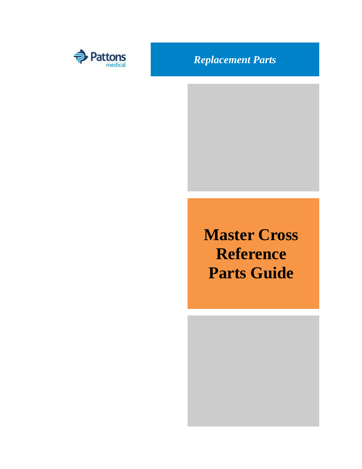

**Master Cross Reference Parts Guide**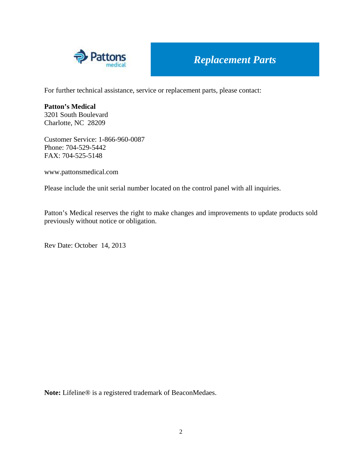

For further technical assistance, service or replacement parts, please contact:

**Patton's Medical**  3201 South Boulevard Charlotte, NC 28209

Customer Service: 1-866-960-0087 Phone: 704-529-5442 FAX: 704-525-5148

www.pattonsmedical.com

Please include the unit serial number located on the control panel with all inquiries.

Patton's Medical reserves the right to make changes and improvements to update products sold previously without notice or obligation.

Rev Date: October 14, 2013

**Note:** Lifeline® is a registered trademark of BeaconMedaes.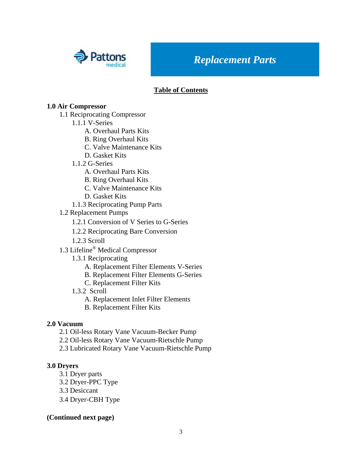

#### **Table of Contents**

#### **1.0 Air Compressor**

- 1.1 Reciprocating Compressor
	- 1.1.1 V-Series
		- A. Overhaul Parts Kits
		- B. Ring Overhaul Kits
		- C. Valve Maintenance Kits
		- D. Gasket Kits
	- 1.1.2 G-Series
		- A. Overhaul Parts Kits
		- B. Ring Overhaul Kits
		- C. Valve Maintenance Kits
		- D. Gasket Kits
	- 1.1.3 Reciprocating Pump Parts
- 1.2 Replacement Pumps
	- 1.2.1 Conversion of V Series to G-Series
	- 1.2.2 Reciprocating Bare Conversion
	- 1.2.3 Scroll
- 1.3 Lifeline® Medical Compressor
	- 1.3.1 Reciprocating
		- A. Replacement Filter Elements V-Series
		- B. Replacement Filter Elements G-Series
		- C. Replacement Filter Kits
	- 1.3.2 Scroll
		- A. Replacement Inlet Filter Elements
		- B. Replacement Filter Kits

#### **2.0 Vacuum**

- 2.1 Oil-less Rotary Vane Vacuum-Becker Pump
- 2.2 Oil-less Rotary Vane Vacuum-Rietschle Pump
- 2.3 Lubricated Rotary Vane Vacuum-Rietschle Pump

#### **3.0 Dryers**

- 3.1 Dryer parts
- 3.2 Dryer-PPC Type
- 3.3 Desiccant
- 3.4 Dryer-CBH Type

#### **(Continued next page)**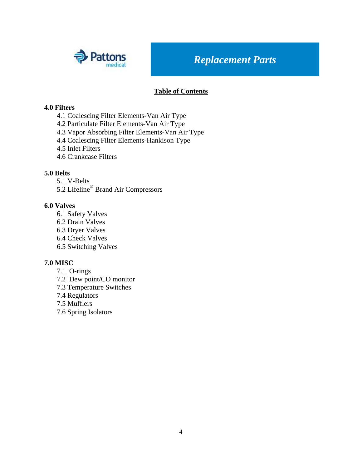

#### **Table of Contents**

#### **4.0 Filters**

- 4.1 Coalescing Filter Elements-Van Air Type
- 4.2 Particulate Filter Elements-Van Air Type
- 4.3 Vapor Absorbing Filter Elements-Van Air Type
- 4.4 Coalescing Filter Elements-Hankison Type
- 4.5 Inlet Filters
- 4.6 Crankcase Filters

#### **5.0 Belts**

- 5.1 V-Belts
- 5.2 Lifeline® Brand Air Compressors

#### **6.0 Valves**

- 6.1 Safety Valves
- 6.2 Drain Valves
- 6.3 Dryer Valves
- 6.4 Check Valves
- 6.5 Switching Valves

#### **7.0 MISC**

- 7.1 O-rings
- 7.2 Dew point/CO monitor
- 7.3 Temperature Switches
- 7.4 Regulators
- 7.5 Mufflers
- 7.6 Spring Isolators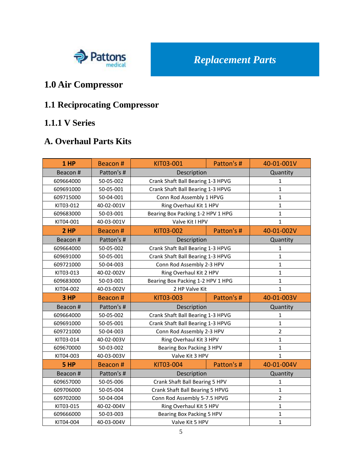

## **1.0 Air Compressor**

# **1.1 Reciprocating Compressor**

#### **1.1.1 V Series**

#### **A. Overhaul Parts Kits**

| 1 HP      | Beacon #   | KIT03-001                         | Patton's #                        | 40-01-001V     |
|-----------|------------|-----------------------------------|-----------------------------------|----------------|
| Beacon#   | Patton's # | Description                       |                                   | Quantity       |
| 609664000 | 50-05-002  | Crank Shaft Ball Bearing 1-3 HPVG |                                   | $\mathbf{1}$   |
| 609691000 | 50-05-001  | Crank Shaft Ball Bearing 1-3 HPVG |                                   | $\mathbf{1}$   |
| 609715000 | 50-04-001  | Conn Rod Assembly 1 HPVG          |                                   | $\mathbf{1}$   |
| KIT03-012 | 40-02-001V | Ring Overhaul Kit 1 HPV           |                                   | $\mathbf{1}$   |
| 609683000 | 50-03-001  | Bearing Box Packing 1-2 HPV 1 HPG |                                   | $\mathbf{1}$   |
| KIT04-001 | 40-03-001V | Valve Kit I HPV                   |                                   | $\mathbf{1}$   |
| 2HP       | Beacon #   | KIT03-002                         | Patton's #                        | 40-01-002V     |
| Beacon#   | Patton's # | Description                       |                                   | Quantity       |
| 609664000 | 50-05-002  | Crank Shaft Ball Bearing 1-3 HPVG |                                   | 1              |
| 609691000 | 50-05-001  | Crank Shaft Ball Bearing 1-3 HPVG |                                   | $\mathbf{1}$   |
| 609721000 | 50-04-003  | Conn Rod Assembly 2-3 HPV         |                                   | $\mathbf{1}$   |
| KIT03-013 | 40-02-002V | Ring Overhaul Kit 2 HPV           |                                   | $\mathbf{1}$   |
| 609683000 | 50-03-001  |                                   | Bearing Box Packing 1-2 HPV 1 HPG |                |
| KIT04-002 | 40-03-002V | 2 HP Valve Kit                    |                                   | $\mathbf{1}$   |
|           |            |                                   |                                   |                |
| 3 HP      | Beacon#    | KIT03-003                         | Patton's #                        | 40-01-003V     |
| Beacon#   | Patton's # | Description                       |                                   | Quantity       |
| 609664000 | 50-05-002  | Crank Shaft Ball Bearing 1-3 HPVG |                                   | $\mathbf{1}$   |
| 609691000 | 50-05-001  | Crank Shaft Ball Bearing 1-3 HPVG |                                   | $\mathbf 1$    |
| 609721000 | 50-04-003  | Conn Rod Assembly 2-3 HPV         |                                   | $\overline{2}$ |
| KIT03-014 | 40-02-003V | Ring Overhaul Kit 3 HPV           |                                   | $\mathbf{1}$   |
| 609670000 | 50-03-002  | Bearing Box Packing 3 HPV         |                                   | $\mathbf 1$    |
| KIT04-003 | 40-03-003V | Valve Kit 3 HPV                   |                                   | $\mathbf{1}$   |
| 5 HP      | Beacon#    | KIT03-004                         | Patton's #                        | 40-01-004V     |
| Beacon#   | Patton's # | Description                       |                                   | Quantity       |
| 609657000 | 50-05-006  | Crank Shaft Ball Bearing 5 HPV    |                                   | $\mathbf{1}$   |
| 609706000 | 50-05-004  | Crank Shaft Ball Bearing 5 HPVG   |                                   | $\mathbf{1}$   |
| 609702000 | 50-04-004  | Conn Rod Assembly 5-7.5 HPVG      |                                   | $\overline{2}$ |
| KIT03-015 | 40-02-004V | Ring Overhaul Kit 5 HPV           |                                   | $\mathbf{1}$   |
| 609666000 | 50-03-003  | Bearing Box Packing 5 HPV         |                                   | $\mathbf 1$    |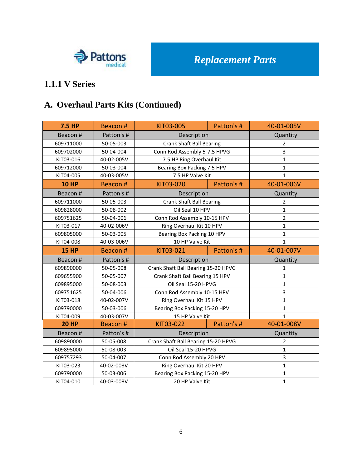

# **A. Overhaul Parts Kits (Continued)**

| <b>7.5 HP</b> | Beacon #   | KIT03-005                           | Patton's # | 40-01-005V     |
|---------------|------------|-------------------------------------|------------|----------------|
| Beacon #      | Patton's # | Description                         |            | Quantity       |
| 609711000     | 50-05-003  | <b>Crank Shaft Ball Bearing</b>     |            | $\overline{2}$ |
| 609702000     | 50-04-004  | Conn Rod Assembly 5-7.5 HPVG        |            | 3              |
| KIT03-016     | 40-02-005V | 7.5 HP Ring Overhaul Kit            |            | $\mathbf{1}$   |
| 609712000     | 50-03-004  | Bearing Box Packing 7.5 HPV         |            | $\mathbf{1}$   |
| KIT04-005     | 40-03-005V | 7.5 HP Valve Kit                    |            | $\mathbf{1}$   |
| <b>10 HP</b>  | Beacon #   | KIT03-020                           | Patton's # | 40-01-006V     |
| Beacon #      | Patton's # | Description                         |            | Quantity       |
| 609711000     | 50-05-003  | <b>Crank Shaft Ball Bearing</b>     |            | $\overline{2}$ |
| 609828000     | 50-08-002  | Oil Seal 10 HPV                     |            | 1              |
| 609751625     | 50-04-006  | Conn Rod Assembly 10-15 HPV         |            | $\overline{2}$ |
| KIT03-017     | 40-02-006V | Ring Overhaul Kit 10 HPV            |            | $\mathbf{1}$   |
| 609805000     | 50-03-005  | Bearing Box Packing 10 HPV          |            | $\mathbf{1}$   |
| KIT04-008     | 40-03-006V | 10 HP Valve Kit                     |            | $\mathbf{1}$   |
| <b>15 HP</b>  | Beacon #   | KIT03-021                           | Patton's # | 40-01-007V     |
| Beacon #      | Patton's # | Description                         |            | Quantity       |
| 609890000     | 50-05-008  | Crank Shaft Ball Bearing 15-20 HPVG |            | 1              |
| 609655900     | 50-05-007  | Crank Shaft Ball Bearing 15 HPV     |            | $\mathbf{1}$   |
| 609895000     | 50-08-003  | Oil Seal 15-20 HPVG                 |            | $\mathbf{1}$   |
| 609751625     | 50-04-006  | Conn Rod Assembly 10-15 HPV         |            | 3              |
| KIT03-018     | 40-02-007V | Ring Overhaul Kit 15 HPV            |            | $\mathbf{1}$   |
| 609790000     | 50-03-006  | Bearing Box Packing 15-20 HPV       |            | $\mathbf{1}$   |
| KIT04-009     | 40-03-007V | 15 HP Valve Kit                     |            | $\mathbf{1}$   |
| <b>20 HP</b>  | Beacon #   | KIT03-022                           | Patton's # | 40-01-008V     |
| Beacon #      | Patton's # | Description                         |            | Quantity       |
| 609890000     | 50-05-008  | Crank Shaft Ball Bearing 15-20 HPVG |            | $\overline{2}$ |
| 609895000     | 50-08-003  | Oil Seal 15-20 HPVG                 |            | 1              |
| 609757293     | 50-04-007  | Conn Rod Assembly 20 HPV            |            | 3              |
| KIT03-023     | 40-02-008V | Ring Overhaul Kit 20 HPV            |            | $\mathbf{1}$   |
| 609790000     | 50-03-006  | Bearing Box Packing 15-20 HPV       |            | 1              |
| KIT04-010     | 40-03-008V | 20 HP Valve Kit                     |            | $\mathbf{1}$   |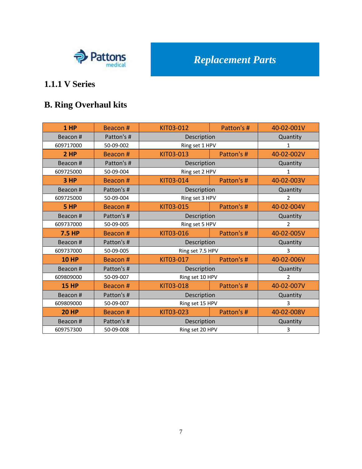

# **B. Ring Overhaul kits**

| 1 HP          | Beacon #   | KIT03-012        | Patton's # | 40-02-001V     |
|---------------|------------|------------------|------------|----------------|
| Beacon#       | Patton's # | Description      |            | Quantity       |
| 609717000     | 50-09-002  | Ring set 1 HPV   |            | $\mathbf{1}$   |
| 2HP           | Beacon#    | KIT03-013        | Patton's # | 40-02-002V     |
| Beacon#       | Patton's # | Description      |            | Quantity       |
| 609725000     | 50-09-004  | Ring set 2 HPV   |            | 1              |
| 3 HP          | Beacon#    | KIT03-014        | Patton's # | 40-02-003V     |
| Beacon #      | Patton's # | Description      |            | Quantity       |
| 609725000     | 50-09-004  | Ring set 3 HPV   |            | $\overline{2}$ |
| 5 HP          | Beacon #   | KIT03-015        | Patton's # | 40-02-004V     |
| Beacon#       | Patton's # | Description      |            | Quantity       |
| 609737000     | 50-09-005  | Ring set 5 HPV   |            | $\overline{2}$ |
| <b>7.5 HP</b> | Beacon#    | KIT03-016        | Patton's # | 40-02-005V     |
| Beacon#       | Patton's # | Description      |            | Quantity       |
| 609737000     | 50-09-005  | Ring set 7.5 HPV |            | 3              |
| <b>10 HP</b>  | Beacon#    | KIT03-017        | Patton's # | 40-02-006V     |
| Beacon #      | Patton's # | Description      |            | Quantity       |
| 609809000     | 50-09-007  | Ring set 10 HPV  |            | $\overline{2}$ |
| <b>15 HP</b>  | Beacon#    | KIT03-018        | Patton's # | 40-02-007V     |
| Beacon#       | Patton's # | Description      |            | Quantity       |
| 609809000     | 50-09-007  | Ring set 15 HPV  |            | 3              |
| <b>20 HP</b>  | Beacon#    | KIT03-023        | Patton's # | 40-02-008V     |
| Beacon#       | Patton's # | Description      |            | Quantity       |
| 609757300     | 50-09-008  | Ring set 20 HPV  |            | 3              |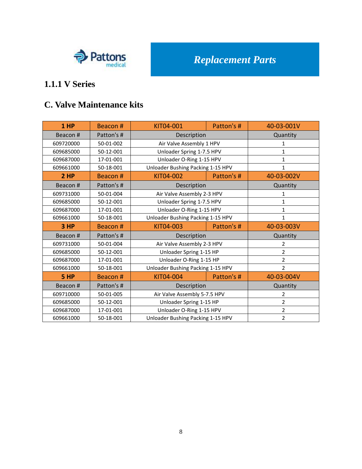

#### **C. Valve Maintenance kits**

| 1 HP      | Beacon #   | KIT04-001                         | Patton's # | 40-03-001V     |
|-----------|------------|-----------------------------------|------------|----------------|
| Beacon#   | Patton's # | Description                       |            | Quantity       |
| 609720000 | 50-01-002  | Air Valve Assembly 1 HPV          |            | 1              |
| 609685000 | 50-12-001  | Unloader Spring 1-7.5 HPV         |            | $\mathbf{1}$   |
| 609687000 | 17-01-001  | Unloader O-Ring 1-15 HPV          |            | 1              |
| 609661000 | 50-18-001  | Unloader Bushing Packing 1-15 HPV |            | $\mathbf{1}$   |
| 2HP       | Beacon #   | KIT04-002                         | Patton's # | 40-03-002V     |
| Beacon#   | Patton's # | Description                       |            | Quantity       |
| 609731000 | 50-01-004  | Air Valve Assembly 2-3 HPV        |            | 1              |
| 609685000 | 50-12-001  | Unloader Spring 1-7.5 HPV         |            | $\mathbf 1$    |
| 609687000 | 17-01-001  | Unloader O-Ring 1-15 HPV          |            | 1              |
| 609661000 | 50-18-001  | Unloader Bushing Packing 1-15 HPV |            | $\mathbf{1}$   |
|           |            | KIT04-003<br>Patton's #           |            |                |
| 3 HP      | Beacon#    |                                   |            | 40-03-003V     |
| Beacon#   | Patton's # | Description                       |            | Quantity       |
| 609731000 | 50-01-004  | Air Valve Assembly 2-3 HPV        |            | $\overline{2}$ |
| 609685000 | 50-12-001  | Unloader Spring 1-15 HP           |            | $\overline{2}$ |
| 609687000 | 17-01-001  | Unloader O-Ring 1-15 HP           |            | $\overline{2}$ |
| 609661000 | 50-18-001  | Unloader Bushing Packing 1-15 HPV |            | $\overline{2}$ |
| 5 HP      | Beacon#    | KIT04-004                         | Patton's # | 40-03-004V     |
| Beacon#   | Patton's # | Description                       |            | Quantity       |
| 609710000 | 50-01-005  | Air Valve Assembly 5-7.5 HPV      |            | 2              |
| 609685000 | 50-12-001  | Unloader Spring 1-15 HP           |            | 2              |
| 609687000 | 17-01-001  | Unloader O-Ring 1-15 HPV          |            | $\overline{2}$ |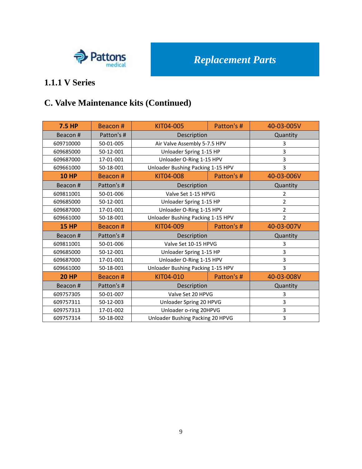

#### **1.1.1 V Series**

## **C. Valve Maintenance kits (Continued)**

| <b>7.5 HP</b> | Beacon#    | KIT04-005                         | Patton's # | 40-03-005V     |
|---------------|------------|-----------------------------------|------------|----------------|
| Beacon#       | Patton's # | Description                       |            | Quantity       |
| 609710000     | 50-01-005  | Air Valve Assembly 5-7.5 HPV      |            | 3              |
| 609685000     | 50-12-001  | Unloader Spring 1-15 HP           |            | 3              |
| 609687000     | 17-01-001  | Unloader O-Ring 1-15 HPV          |            | 3              |
| 609661000     | 50-18-001  | Unloader Bushing Packing 1-15 HPV |            | 3              |
| <b>10 HP</b>  | Beacon #   | KIT04-008                         | Patton's # | 40-03-006V     |
| Beacon#       | Patton's # | Description                       |            | Quantity       |
| 609811001     | 50-01-006  | Valve Set 1-15 HPVG               |            | 2              |
| 609685000     | 50-12-001  | Unloader Spring 1-15 HP           |            | $\overline{2}$ |
| 609687000     | 17-01-001  | Unloader O-Ring 1-15 HPV          |            | $\overline{2}$ |
| 609661000     | 50-18-001  | Unloader Bushing Packing 1-15 HPV |            | $\overline{2}$ |
| <b>15 HP</b>  | Beacon #   | KIT04-009                         | Patton's # | 40-03-007V     |
| Beacon#       | Patton's # | Description                       |            | Quantity       |
| 609811001     | 50-01-006  | Valve Set 10-15 HPVG              |            | 3              |
| 609685000     | 50-12-001  | Unloader Spring 1-15 HP           |            | 3              |
| 609687000     | 17-01-001  | Unloader O-Ring 1-15 HPV          |            | 3              |
| 609661000     | 50-18-001  | Unloader Bushing Packing 1-15 HPV |            | 3              |
| <b>20 HP</b>  |            |                                   |            |                |
|               | Beacon #   | KIT04-010                         | Patton's # | 40-03-008V     |
| Beacon #      | Patton's # | Description                       |            | Quantity       |
| 609757305     | 50-01-007  | Valve Set 20 HPVG                 |            | 3              |
| 609757311     | 50-12-003  | Unloader Spring 20 HPVG           |            | 3              |
| 609757313     | 17-01-002  | Unloader o-ring 20HPVG            |            | 3              |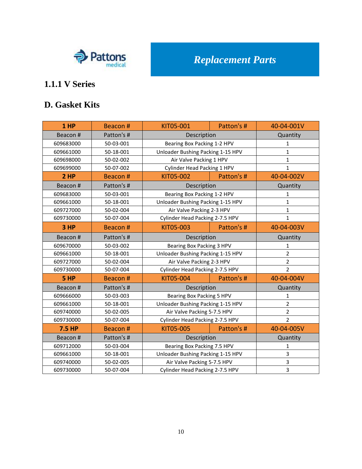

#### **D. Gasket Kits**

| 1 HP      | Beacon #   | KIT05-001                         | Patton's # | 40-04-001V              |
|-----------|------------|-----------------------------------|------------|-------------------------|
| Beacon#   | Patton's # | Description                       |            | Quantity                |
| 609683000 | 50-03-001  | Bearing Box Packing 1-2 HPV       |            | $\mathbf{1}$            |
| 609661000 | 50-18-001  | Unloader Bushing Packing 1-15 HPV |            | $\mathbf{1}$            |
| 609698000 | 50-02-002  | Air Valve Packing 1 HPV           |            | $\mathbf{1}$            |
| 609699000 | 50-07-002  | Cylinder Head Packing 1 HPV       |            | $\mathbf{1}$            |
| 2HP       | Beacon #   | KIT05-002                         | Patton's # | 40-04-002V              |
| Beacon#   | Patton's # | Description                       |            | Quantity                |
| 609683000 | 50-03-001  | Bearing Box Packing 1-2 HPV       |            | $\mathbf{1}$            |
| 609661000 | 50-18-001  | Unloader Bushing Packing 1-15 HPV |            | $\mathbf{1}$            |
| 609727000 | 50-02-004  | Air Valve Packing 2-3 HPV         |            | $\mathbf 1$             |
| 609730000 | 50-07-004  | Cylinder Head Packing 2-7.5 HPV   |            | $\mathbf{1}$            |
| 3 HP      | Beacon #   | KIT05-003                         | Patton's # | 40-04-003V              |
| Beacon#   | Patton's # | Description                       |            | Quantity                |
| 609670000 | 50-03-002  | Bearing Box Packing 3 HPV         |            | $\mathbf{1}$            |
| 609661000 | 50-18-001  | Unloader Bushing Packing 1-15 HPV |            | $\overline{2}$          |
| 609727000 | 50-02-004  | Air Valve Packing 2-3 HPV         |            | $\overline{2}$          |
| 609730000 | 50-07-004  | Cylinder Head Packing 2-7.5 HPV   |            | $\overline{2}$          |
| 5 HP      | Beacon #   | KIT05-004                         | Patton's # | 40-04-004V              |
| Beacon#   | Patton's # | Description                       |            | Quantity                |
| 609666000 | 50-03-003  | Bearing Box Packing 5 HPV         |            | $\mathbf{1}$            |
| 609661000 | 50-18-001  | Unloader Bushing Packing 1-15 HPV |            | $\overline{2}$          |
| 609740000 | 50-02-005  | Air Valve Packing 5-7.5 HPV       |            | $\mathbf 2$             |
| 609730000 | 50-07-004  | Cylinder Head Packing 2-7.5 HPV   |            | $\overline{2}$          |
| 7.5 HP    | Beacon#    | KIT05-005                         | Patton's # | 40-04-005V              |
| Beacon#   | Patton's # | Description                       |            | Quantity                |
| 609712000 | 50-03-004  | Bearing Box Packing 7.5 HPV       |            | 1                       |
| 609661000 | 50-18-001  | Unloader Bushing Packing 1-15 HPV |            | $\mathsf 3$             |
| 609740000 | 50-02-005  | Air Valve Packing 5-7.5 HPV       |            | $\overline{\mathbf{3}}$ |
| 609730000 | 50-07-004  | Cylinder Head Packing 2-7.5 HPV   |            | $\overline{3}$          |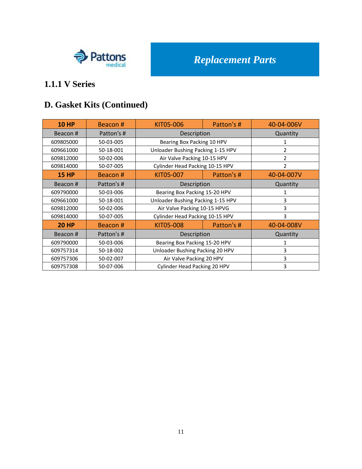

# **D. Gasket Kits (Continued)**

| <b>10 HP</b> | Beacon#    | KIT05-006                         | Patton's # | 40-04-006V     |
|--------------|------------|-----------------------------------|------------|----------------|
| Beacon#      | Patton's # | Description                       |            | Quantity       |
| 609805000    | 50-03-005  | Bearing Box Packing 10 HPV        |            |                |
| 609661000    | 50-18-001  | Unloader Bushing Packing 1-15 HPV |            | $\mathcal{L}$  |
| 609812000    | 50-02-006  | Air Valve Packing 10-15 HPV       |            | $\overline{2}$ |
| 609814000    | 50-07-005  | Cylinder Head Packing 10-15 HPV   |            | $\overline{2}$ |
| <b>15 HP</b> | Beacon#    | KIT05-007                         | Patton's # | 40-04-007V     |
| Beacon#      | Patton's # | Description                       |            | Quantity       |
| 609790000    | 50-03-006  | Bearing Box Packing 15-20 HPV     |            | 1              |
| 609661000    | 50-18-001  | Unloader Bushing Packing 1-15 HPV |            | 3              |
| 609812000    | 50-02-006  | Air Valve Packing 10-15 HPVG      |            | 3              |
| 609814000    | 50-07-005  | Cylinder Head Packing 10-15 HPV   |            | 3              |
| <b>20 HP</b> | Beacon#    | KIT05-008                         | Patton's # | 40-04-008V     |
| Beacon#      | Patton's # | Description                       |            | Quantity       |
| 609790000    | 50-03-006  | Bearing Box Packing 15-20 HPV     |            |                |
| 609757314    | 50-18-002  | Unloader Bushing Packing 20 HPV   |            | 3              |
| 609757306    | 50-02-007  | Air Valve Packing 20 HPV          |            | 3              |
| 609757308    | 50-07-006  | Cylinder Head Packing 20 HPV      |            | 3              |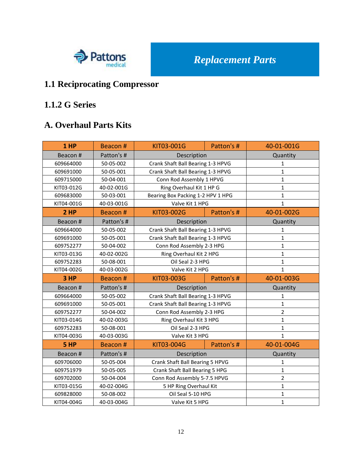

# **1.1 Reciprocating Compressor**

#### **1.1.2 G Series**

#### **A. Overhaul Parts Kits**

| 1 HP       | Beacon #   | KIT03-001G                        | Patton's # | 40-01-001G     |
|------------|------------|-----------------------------------|------------|----------------|
| Beacon#    | Patton's # | Description                       |            | Quantity       |
| 609664000  | 50-05-002  | Crank Shaft Ball Bearing 1-3 HPVG |            | $\mathbf{1}$   |
| 609691000  | 50-05-001  | Crank Shaft Ball Bearing 1-3 HPVG |            | $\mathbf{1}$   |
| 609715000  | 50-04-001  | Conn Rod Assembly 1 HPVG          |            | $\mathbf{1}$   |
| KIT03-012G | 40-02-001G | Ring Overhaul Kit 1 HP G          |            | $\mathbf{1}$   |
| 609683000  | 50-03-001  | Bearing Box Packing 1-2 HPV 1 HPG |            | $\mathbf{1}$   |
| KIT04-001G | 40-03-001G | Valve Kit 1 HPG                   |            | $\mathbf{1}$   |
| 2HP        | Beacon#    | KIT03-002G                        | Patton's # | 40-01-002G     |
| Beacon#    | Patton's # | Description                       |            | Quantity       |
| 609664000  | 50-05-002  | Crank Shaft Ball Bearing 1-3 HPVG |            | $\mathbf{1}$   |
| 609691000  | 50-05-001  | Crank Shaft Ball Bearing 1-3 HPVG |            | $\mathbf{1}$   |
| 609752277  | 50-04-002  | Conn Rod Assembly 2-3 HPG         |            | $\mathbf{1}$   |
| KIT03-013G | 40-02-002G | Ring Overhaul Kit 2 HPG           |            | $\mathbf{1}$   |
| 609752283  | 50-08-001  | Oil Seal 2-3 HPG                  |            | $\mathbf{1}$   |
| KIT04-002G | 40-03-002G | Valve Kit 2 HPG                   |            | $\mathbf{1}$   |
| 3 HP       | Beacon #   | KIT03-003G                        | Patton's # | 40-01-003G     |
| Beacon #   | Patton's # | Description                       |            | Quantity       |
|            |            |                                   |            |                |
| 609664000  | 50-05-002  | Crank Shaft Ball Bearing 1-3 HPVG |            | $\mathbf{1}$   |
| 609691000  | 50-05-001  | Crank Shaft Ball Bearing 1-3 HPVG |            | $\mathbf{1}$   |
| 609752277  | 50-04-002  | Conn Rod Assembly 2-3 HPG         |            | $\overline{2}$ |
| KIT03-014G | 40-02-003G | Ring Overhaul Kit 3 HPG           |            | $\mathbf{1}$   |
| 609752283  | 50-08-001  | Oil Seal 2-3 HPG                  |            | $\mathbf{1}$   |
| KIT04-003G | 40-03-003G | Valve Kit 3 HPG                   |            | $\mathbf{1}$   |
| 5 HP       | Beacon #   | KIT03-004G                        | Patton's # | 40-01-004G     |
| Beacon#    | Patton's # | Description                       |            | Quantity       |
| 609706000  | 50-05-004  | Crank Shaft Ball Bearing 5 HPVG   |            | $\mathbf{1}$   |
| 609751979  | 50-05-005  | Crank Shaft Ball Bearing 5 HPG    |            | $\mathbf{1}$   |
| 609702000  | 50-04-004  | Conn Rod Assembly 5-7.5 HPVG      |            | $\overline{2}$ |
| KIT03-015G | 40-02-004G | 5 HP Ring Overhaul Kit            |            | $\mathbf{1}$   |
| 609828000  | 50-08-002  | Oil Seal 5-10 HPG                 |            | $\mathbf 1$    |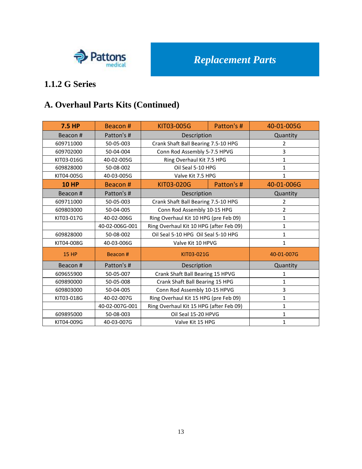

# **1.1.2 G Series**

# **A. Overhaul Parts Kits (Continued)**

| <b>7.5 HP</b> | Beacon#        | KIT03-005G                              | Patton's # | 40-01-005G     |
|---------------|----------------|-----------------------------------------|------------|----------------|
| Beacon#       | Patton's #     | Description                             |            | Quantity       |
| 609711000     | 50-05-003      | Crank Shaft Ball Bearing 7.5-10 HPG     |            | 2              |
| 609702000     | 50-04-004      | Conn Rod Assembly 5-7.5 HPVG            |            | 3              |
| KIT03-016G    | 40-02-005G     | Ring Overhaul Kit 7.5 HPG               |            | $\mathbf{1}$   |
| 609828000     | 50-08-002      | Oil Seal 5-10 HPG                       |            | 1              |
| KIT04-005G    | 40-03-005G     | Valve Kit 7.5 HPG                       |            | $\mathbf{1}$   |
| <b>10 HP</b>  | Beacon#        | KIT03-020G                              | Patton's # | 40-01-006G     |
| Beacon #      | Patton's #     | Description                             |            | Quantity       |
| 609711000     | 50-05-003      | Crank Shaft Ball Bearing 7.5-10 HPG     |            | 2              |
| 609803000     | 50-04-005      | Conn Rod Assembly 10-15 HPG             |            | $\overline{2}$ |
| KIT03-017G    | 40-02-006G     | Ring Overhaul Kit 10 HPG (pre Feb 09)   |            | $\mathbf{1}$   |
|               | 40-02-006G-001 | Ring Overhaul Kit 10 HPG (after Feb 09) |            | $\mathbf{1}$   |
| 609828000     | 50-08-002      | Oil Seal 5-10 HPG Oil Seal 5-10 HPG     |            | $\mathbf{1}$   |
| KIT04-008G    | 40-03-006G     | Valve Kit 10 HPVG                       |            | $\mathbf{1}$   |
| <b>15 HP</b>  | Beacon#        | KIT03-021G                              |            | 40-01-007G     |
| Beacon#       | Patton's #     | Description                             |            | Quantity       |
| 609655900     | 50-05-007      | Crank Shaft Ball Bearing 15 HPVG        |            | 1              |
| 609890000     | 50-05-008      | Crank Shaft Ball Bearing 15 HPG         |            | 1              |
| 609803000     | 50-04-005      | Conn Rod Assembly 10-15 HPVG            |            | 3              |
| KIT03-018G    | 40-02-007G     | Ring Overhaul Kit 15 HPG (pre Feb 09)   |            | $\mathbf{1}$   |
|               | 40-02-007G-001 | Ring Overhaul Kit 15 HPG (after Feb 09) |            | $\mathbf{1}$   |
| 609895000     | 50-08-003      | Oil Seal 15-20 HPVG                     |            | $\mathbf{1}$   |
| KIT04-009G    | 40-03-007G     | Valve Kit 15 HPG                        |            | $\mathbf{1}$   |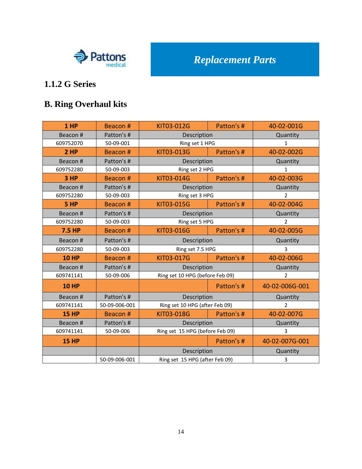

# **1.1.2 G Series**

# **B. Ring Overhaul kits**

| 1 HP          | Beacon#       | KIT03-012G                      | Patton's # | 40-02-001G     |
|---------------|---------------|---------------------------------|------------|----------------|
| Beacon#       | Patton's #    | Description                     |            | Quantity       |
| 609752070     | 50-09-001     | Ring set 1 HPG                  |            | $\mathbf{1}$   |
| 2 HP          | Beacon#       | KIT03-013G                      | Patton's # | 40-02-002G     |
| Beacon#       | Patton's #    | Description                     |            | Quantity       |
| 609752280     | 50-09-003     | Ring set 2 HPG                  |            | 1              |
| 3 HP          | Beacon #      | KIT03-014G                      | Patton's # | 40-02-003G     |
| Beacon#       | Patton's #    | Description                     |            | Quantity       |
| 609752280     | 50-09-003     | Ring set 3 HPG                  |            | $\overline{2}$ |
| 5 HP          | Beacon #      | KIT03-015G                      | Patton's # | 40-02-004G     |
| Beacon#       | Patton's #    | Description                     |            | Quantity       |
| 609752280     | 50-09-003     | Ring set 5 HPG                  |            | $\overline{2}$ |
| <b>7.5 HP</b> | Beacon #      | KIT03-016G                      | Patton's # | 40-02-005G     |
| Beacon#       | Patton's #    | Description                     |            | Quantity       |
| 609752280     | 50-09-003     | Ring set 7.5 HPG                |            | 3              |
| <b>10 HP</b>  | Beacon#       | KIT03-017G                      | Patton's # | 40-02-006G     |
| Beacon#       | Patton's #    | Description                     |            | Quantity       |
| 609741141     | 50-09-006     | Ring set 10 HPG (before Feb 09) |            | $\overline{2}$ |
| <b>10 HP</b>  |               |                                 | Patton's # | 40-02-006G-001 |
| Beacon#       | Patton's #    | Description                     |            | Quantity       |
| 609741141     | 50-09-006-001 | Ring set 10 HPG (after Feb 09)  |            | $\overline{2}$ |
| <b>15 HP</b>  | Beacon #      | KIT03-018G                      | Patton's # | 40-02-007G     |
| Beacon#       | Patton's #    | Description                     |            | Quantity       |
| 609741141     | 50-09-006     | Ring set 15 HPG (before Feb 09) |            | 3              |
| <b>15 HP</b>  |               |                                 | Patton's # | 40-02-007G-001 |
|               |               | Description                     |            | Quantity       |
|               | 50-09-006-001 | Ring set 15 HPG (after Feb 09)  |            | $\overline{3}$ |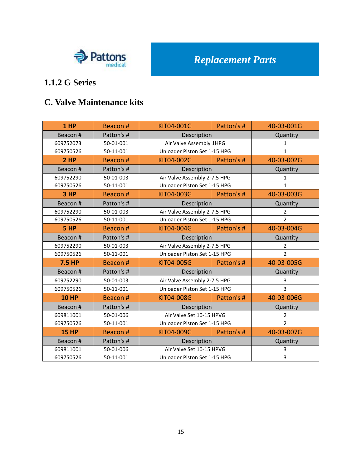

#### **1.1.2 G Series**

#### **C. Valve Maintenance kits**

| $1$ HP       | Beacon #   | KIT04-001G                   | Patton's # | 40-03-001G     |
|--------------|------------|------------------------------|------------|----------------|
| Beacon#      | Patton's # | Description                  |            | Quantity       |
| 609752073    | 50-01-001  | Air Valve Assembly 1HPG      |            | 1              |
| 609750526    | 50-11-001  | Unloader Piston Set 1-15 HPG |            | $\mathbf{1}$   |
| 2 HP         | Beacon#    | KIT04-002G                   | Patton's # | 40-03-002G     |
| Beacon #     | Patton's # | Description                  |            | Quantity       |
| 609752290    | 50-01-003  | Air Valve Assembly 2-7.5 HPG |            | $\mathbf{1}$   |
| 609750526    | 50-11-001  | Unloader Piston Set 1-15 HPG |            | $\mathbf{1}$   |
| 3 HP         | Beacon#    | KIT04-003G                   | Patton's # | 40-03-003G     |
| Beacon #     | Patton's # | Description                  |            | Quantity       |
| 609752290    | 50-01-003  | Air Valve Assembly 2-7.5 HPG |            | $\overline{2}$ |
| 609750526    | 50-11-001  | Unloader Piston Set 1-15 HPG |            | $\overline{2}$ |
| 5 HP         | Beacon#    | KIT04-004G                   | Patton's # | 40-03-004G     |
| Beacon #     | Patton's # | Description                  |            | Quantity       |
| 609752290    | 50-01-003  | Air Valve Assembly 2-7.5 HPG |            | $\overline{2}$ |
| 609750526    | 50-11-001  | Unloader Piston Set 1-15 HPG |            | $\overline{2}$ |
| 7.5 HP       | Beacon#    | KIT04-005G                   | Patton's # | 40-03-005G     |
| Beacon #     | Patton's # | Description                  |            | Quantity       |
| 609752290    | 50-01-003  | Air Valve Assembly 2-7.5 HPG |            | 3              |
| 609750526    | 50-11-001  | Unloader Piston Set 1-15 HPG |            | $\overline{3}$ |
| <b>10 HP</b> | Beacon#    | KIT04-008G                   | Patton's # | 40-03-006G     |
| Beacon #     | Patton's # | Description                  |            | Quantity       |
| 609811001    | 50-01-006  | Air Valve Set 10-15 HPVG     |            | $\overline{2}$ |
| 609750526    | 50-11-001  | Unloader Piston Set 1-15 HPG |            | $\overline{2}$ |
| <b>15 HP</b> | Beacon #   | KIT04-009G                   | Patton's # | 40-03-007G     |
| Beacon #     | Patton's # | Description                  |            | Quantity       |
| 609811001    | 50-01-006  | Air Valve Set 10-15 HPVG     |            | 3              |
| 609750526    | 50-11-001  | Unloader Piston Set 1-15 HPG |            | $\overline{3}$ |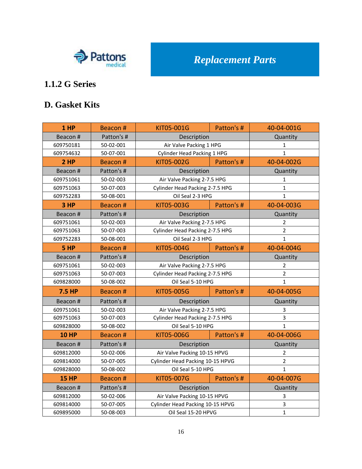

# **1.1.2 G Series**

#### **D. Gasket Kits**

| 1 HP          | Beacon#    | KIT05-001G                         | Patton's #       | 40-04-001G     |
|---------------|------------|------------------------------------|------------------|----------------|
| Beacon #      | Patton's # | Description                        |                  | Quantity       |
| 609750181     | 50-02-001  | Air Valve Packing 1 HPG            |                  | 1              |
| 609754632     | 50-07-001  | <b>Cylinder Head Packing 1 HPG</b> |                  | $\mathbf{1}$   |
| 2HP           | Beacon#    | KIT05-002G                         | Patton's #       | 40-04-002G     |
| Beacon#       | Patton's # | Description                        |                  | Quantity       |
| 609751061     | 50-02-003  | Air Valve Packing 2-7.5 HPG        |                  | $\mathbf{1}$   |
| 609751063     | 50-07-003  | Cylinder Head Packing 2-7.5 HPG    |                  | $\mathbf{1}$   |
| 609752283     | 50-08-001  | Oil Seal 2-3 HPG                   |                  | $\mathbf{1}$   |
| 3 HP          | Beacon#    | KIT05-003G                         | Patton's #       | 40-04-003G     |
| Beacon #      | Patton's # | Description                        |                  | Quantity       |
| 609751061     | 50-02-003  | Air Valve Packing 2-7.5 HPG        |                  | $\overline{2}$ |
| 609751063     | 50-07-003  | Cylinder Head Packing 2-7.5 HPG    |                  | $\overline{2}$ |
| 609752283     | 50-08-001  |                                    | Oil Seal 2-3 HPG |                |
| 5 HP          | Beacon#    | KIT05-004G                         | Patton's #       | 40-04-004G     |
| Beacon#       | Patton's # | Description                        |                  | Quantity       |
| 609751061     | 50-02-003  | Air Valve Packing 2-7.5 HPG        |                  | $\overline{2}$ |
| 609751063     | 50-07-003  | Cylinder Head Packing 2-7.5 HPG    |                  | $\overline{2}$ |
| 609828000     | 50-08-002  | Oil Seal 5-10 HPG                  |                  | $\mathbf{1}$   |
| <b>7.5 HP</b> | Beacon#    | KIT05-005G                         | Patton's #       | 40-04-005G     |
| Beacon #      | Patton's # | Description                        |                  | Quantity       |
| 609751061     | 50-02-003  | Air Valve Packing 2-7.5 HPG        |                  | 3              |
| 609751063     | 50-07-003  | Cylinder Head Packing 2-7.5 HPG    |                  | 3              |
| 609828000     | 50-08-002  | Oil Seal 5-10 HPG                  |                  | $\mathbf{1}$   |
| <b>10 HP</b>  | Beacon#    | KIT05-006G                         | Patton's #       | 40-04-006G     |
| Beacon #      | Patton's # | Description                        |                  | Quantity       |
| 609812000     | 50-02-006  | Air Valve Packing 10-15 HPVG       |                  | 2              |
| 609814000     | 50-07-005  | Cylinder Head Packing 10-15 HPVG   |                  | $\overline{2}$ |
| 609828000     | 50-08-002  | Oil Seal 5-10 HPG                  |                  | $\mathbf{1}$   |
| <b>15 HP</b>  | Beacon#    | KIT05-007G                         | Patton's #       | 40-04-007G     |
| Beacon #      | Patton's # | Description                        |                  | Quantity       |
| 609812000     | 50-02-006  | Air Valve Packing 10-15 HPVG       |                  | 3              |
| 609814000     | 50-07-005  | Cylinder Head Packing 10-15 HPVG   |                  | 3              |
| 609895000     | 50-08-003  | Oil Seal 15-20 HPVG                |                  | $\mathbf{1}$   |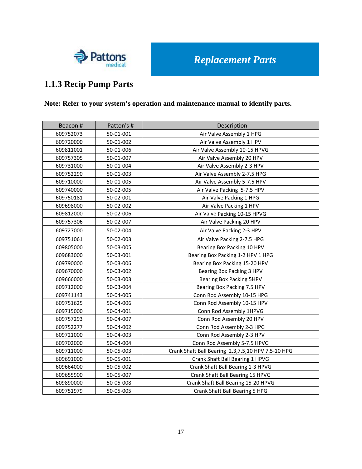

### **1.1.3 Recip Pump Parts**

#### **Note: Refer to your system's operation and maintenance manual to identify parts.**

| Beacon #  | Patton's # | Description                                        |  |  |  |  |  |
|-----------|------------|----------------------------------------------------|--|--|--|--|--|
| 609752073 | 50-01-001  | Air Valve Assembly 1 HPG                           |  |  |  |  |  |
| 609720000 | 50-01-002  | Air Valve Assembly 1 HPV                           |  |  |  |  |  |
| 609811001 | 50-01-006  | Air Valve Assembly 10-15 HPVG                      |  |  |  |  |  |
| 609757305 | 50-01-007  | Air Valve Assembly 20 HPV                          |  |  |  |  |  |
| 609731000 | 50-01-004  | Air Valve Assembly 2-3 HPV                         |  |  |  |  |  |
| 609752290 | 50-01-003  | Air Valve Assembly 2-7.5 HPG                       |  |  |  |  |  |
| 609710000 | 50-01-005  | Air Valve Assembly 5-7.5 HPV                       |  |  |  |  |  |
| 609740000 | 50-02-005  | Air Valve Packing 5-7.5 HPV                        |  |  |  |  |  |
| 609750181 | 50-02-001  | Air Valve Packing 1 HPG                            |  |  |  |  |  |
| 609698000 | 50-02-002  | Air Valve Packing 1 HPV                            |  |  |  |  |  |
| 609812000 | 50-02-006  | Air Valve Packing 10-15 HPVG                       |  |  |  |  |  |
| 609757306 | 50-02-007  | Air Valve Packing 20 HPV                           |  |  |  |  |  |
| 609727000 | 50-02-004  | Air Valve Packing 2-3 HPV                          |  |  |  |  |  |
| 609751061 | 50-02-003  | Air Valve Packing 2-7.5 HPG                        |  |  |  |  |  |
| 609805000 | 50-03-005  | Bearing Box Packing 10 HPV                         |  |  |  |  |  |
| 609683000 | 50-03-001  | Bearing Box Packing 1-2 HPV 1 HPG                  |  |  |  |  |  |
| 609790000 | 50-03-006  | Bearing Box Packing 15-20 HPV                      |  |  |  |  |  |
| 609670000 | 50-03-002  | Bearing Box Packing 3 HPV                          |  |  |  |  |  |
| 609666000 | 50-03-003  | Bearing Box Packing 5HPV                           |  |  |  |  |  |
| 609712000 | 50-03-004  | Bearing Box Packing 7.5 HPV                        |  |  |  |  |  |
| 609741143 | 50-04-005  | Conn Rod Assembly 10-15 HPG                        |  |  |  |  |  |
| 609751625 | 50-04-006  | Conn Rod Assembly 10-15 HPV                        |  |  |  |  |  |
| 609715000 | 50-04-001  | Conn Rod Assembly 1HPVG                            |  |  |  |  |  |
| 609757293 | 50-04-007  | Conn Rod Assembly 20 HPV                           |  |  |  |  |  |
| 609752277 | 50-04-002  | Conn Rod Assembly 2-3 HPG                          |  |  |  |  |  |
| 609721000 | 50-04-003  | Conn Rod Assembly 2-3 HPV                          |  |  |  |  |  |
| 609702000 | 50-04-004  | Conn Rod Assembly 5-7.5 HPVG                       |  |  |  |  |  |
| 609711000 | 50-05-003  | Crank Shaft Ball Bearing 2,3,7.5,10 HPV 7.5-10 HPG |  |  |  |  |  |
| 609691000 | 50-05-001  | Crank Shaft Ball Bearing 1 HPVG                    |  |  |  |  |  |
| 609664000 | 50-05-002  | Crank Shaft Ball Bearing 1-3 HPVG                  |  |  |  |  |  |
| 609655900 | 50-05-007  | Crank Shaft Ball Bearing 15 HPVG                   |  |  |  |  |  |
| 609890000 | 50-05-008  | Crank Shaft Ball Bearing 15-20 HPVG                |  |  |  |  |  |
| 609751979 | 50-05-005  | Crank Shaft Ball Bearing 5 HPG                     |  |  |  |  |  |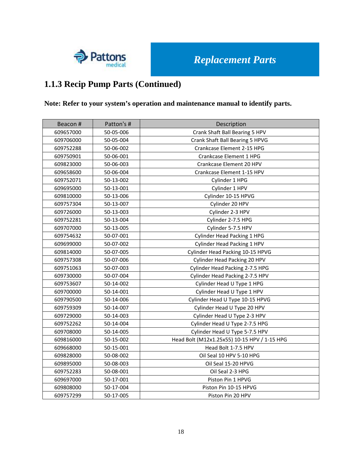

## **1.1.3 Recip Pump Parts (Continued)**

#### **Note: Refer to your system's operation and maintenance manual to identify parts.**

| Beacon #  | Patton's # | Description                                  |  |  |  |  |  |
|-----------|------------|----------------------------------------------|--|--|--|--|--|
| 609657000 | 50-05-006  | Crank Shaft Ball Bearing 5 HPV               |  |  |  |  |  |
| 609706000 | 50-05-004  | Crank Shaft Ball Bearing 5 HPVG              |  |  |  |  |  |
| 609752288 | 50-06-002  | Crankcase Element 2-15 HPG                   |  |  |  |  |  |
| 609750901 | 50-06-001  | Crankcase Element 1 HPG                      |  |  |  |  |  |
| 609823000 | 50-06-003  | Crankcase Element 20 HPV                     |  |  |  |  |  |
| 609658600 | 50-06-004  | Crankcase Element 1-15 HPV                   |  |  |  |  |  |
| 609752071 | 50-13-002  | Cylinder 1 HPG                               |  |  |  |  |  |
| 609695000 | 50-13-001  | Cylinder 1 HPV                               |  |  |  |  |  |
| 609810000 | 50-13-006  | Cylinder 10-15 HPVG                          |  |  |  |  |  |
| 609757304 | 50-13-007  | Cylinder 20 HPV                              |  |  |  |  |  |
| 609726000 | 50-13-003  | Cylinder 2-3 HPV                             |  |  |  |  |  |
| 609752281 | 50-13-004  | Cylinder 2-7.5 HPG                           |  |  |  |  |  |
| 609707000 | 50-13-005  | Cylinder 5-7.5 HPV                           |  |  |  |  |  |
| 609754632 | 50-07-001  | <b>Cylinder Head Packing 1 HPG</b>           |  |  |  |  |  |
| 609699000 | 50-07-002  | Cylinder Head Packing 1 HPV                  |  |  |  |  |  |
| 609814000 | 50-07-005  | Cylinder Head Packing 10-15 HPVG             |  |  |  |  |  |
| 609757308 | 50-07-006  | Cylinder Head Packing 20 HPV                 |  |  |  |  |  |
| 609751063 | 50-07-003  | Cylinder Head Packing 2-7.5 HPG              |  |  |  |  |  |
| 609730000 | 50-07-004  | Cylinder Head Packing 2-7.5 HPV              |  |  |  |  |  |
| 609753607 | 50-14-002  | Cylinder Head U Type 1 HPG                   |  |  |  |  |  |
| 609700000 | 50-14-001  | Cylinder Head U Type 1 HPV                   |  |  |  |  |  |
| 609790500 | 50-14-006  | Cylinder Head U Type 10-15 HPVG              |  |  |  |  |  |
| 609759309 | 50-14-007  | Cylinder Head U Type 20 HPV                  |  |  |  |  |  |
| 609729000 | 50-14-003  | Cylinder Head U Type 2-3 HPV                 |  |  |  |  |  |
| 609752262 | 50-14-004  | Cylinder Head U Type 2-7.5 HPG               |  |  |  |  |  |
| 609708000 | 50-14-005  | Cylinder Head U Type 5-7.5 HPV               |  |  |  |  |  |
| 609816000 | 50-15-002  | Head Bolt (M12x1.25x55) 10-15 HPV / 1-15 HPG |  |  |  |  |  |
| 609668000 | 50-15-001  | Head Bolt 1-7.5 HPV                          |  |  |  |  |  |
| 609828000 | 50-08-002  | Oil Seal 10 HPV 5-10 HPG                     |  |  |  |  |  |
| 609895000 | 50-08-003  | Oil Seal 15-20 HPVG                          |  |  |  |  |  |
| 609752283 | 50-08-001  | Oil Seal 2-3 HPG                             |  |  |  |  |  |
| 609697000 | 50-17-001  | Piston Pin 1 HPVG                            |  |  |  |  |  |
| 609808000 | 50-17-004  | Piston Pin 10-15 HPVG                        |  |  |  |  |  |
| 609757299 | 50-17-005  | Piston Pin 20 HPV                            |  |  |  |  |  |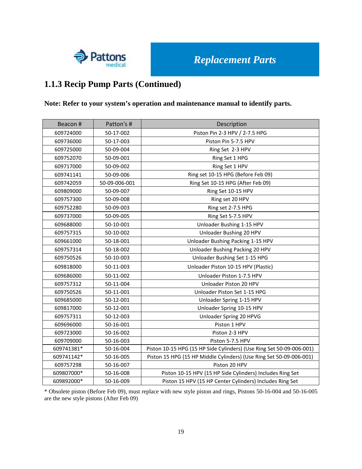

### **1.1.3 Recip Pump Parts (Continued)**

#### **Note: Refer to your system's operation and maintenance manual to identify parts.**

| Beacon#    | Patton's #    | Description                                                          |  |  |  |  |  |
|------------|---------------|----------------------------------------------------------------------|--|--|--|--|--|
| 609724000  | 50-17-002     | Piston Pin 2-3 HPV / 2-7.5 HPG                                       |  |  |  |  |  |
| 609736000  | 50-17-003     | Piston Pin 5-7.5 HPV                                                 |  |  |  |  |  |
| 609725000  | 50-09-004     | Ring Set 2-3 HPV                                                     |  |  |  |  |  |
| 609752070  | 50-09-001     | Ring Set 1 HPG                                                       |  |  |  |  |  |
| 609717000  | 50-09-002     | Ring Set 1 HPV                                                       |  |  |  |  |  |
| 609741141  | 50-09-006     | Ring set 10-15 HPG (Before Feb 09)                                   |  |  |  |  |  |
| 609742059  | 50-09-006-001 | Ring Set 10-15 HPG (After Feb 09)                                    |  |  |  |  |  |
| 609809000  | 50-09-007     | Ring Set 10-15 HPV                                                   |  |  |  |  |  |
| 609757300  | 50-09-008     | Ring set 20 HPV                                                      |  |  |  |  |  |
| 609752280  | 50-09-003     | Ring set 2-7.5 HPG                                                   |  |  |  |  |  |
| 609737000  | 50-09-005     | Ring Set 5-7.5 HPV                                                   |  |  |  |  |  |
| 609688000  | 50-10-001     | Unloader Bushing 1-15 HPV                                            |  |  |  |  |  |
| 609757315  | 50-10-002     | Unloader Bushing 20 HPV                                              |  |  |  |  |  |
| 609661000  | 50-18-001     | Unloader Bushing Packing 1-15 HPV                                    |  |  |  |  |  |
| 609757314  | 50-18-002     | Unloader Bushing Packing 20 HPV                                      |  |  |  |  |  |
| 609750526  | 50-10-003     | Unloader Bushing Set 1-15 HPG                                        |  |  |  |  |  |
| 609818000  | 50-11-003     | Unloader Piston 10-15 HPV (Plastic)                                  |  |  |  |  |  |
| 609686000  | 50-11-002     | Unloader Piston 1-7.5 HPV                                            |  |  |  |  |  |
| 609757312  | 50-11-004     | Unloader Piston 20 HPV                                               |  |  |  |  |  |
| 609750526  | 50-11-001     | Unloader Piston Set 1-15 HPG                                         |  |  |  |  |  |
| 609685000  | 50-12-001     | Unloader Spring 1-15 HPV                                             |  |  |  |  |  |
| 609817000  | 50-12-001     | Unloader Spring 10-15 HPV                                            |  |  |  |  |  |
| 609757311  | 50-12-003     | Unloader Spring 20 HPVG                                              |  |  |  |  |  |
| 609696000  | 50-16-001     | Piston 1 HPV                                                         |  |  |  |  |  |
| 609723000  | 50-16-002     | Piston 2-3 HPV                                                       |  |  |  |  |  |
| 609709000  | 50-16-003     | Piston 5-7.5 HPV                                                     |  |  |  |  |  |
| 609741381* | 50-16-004     | Piston 10-15 HPG (15 HP Side Cylinders) (Use Ring Set 50-09-006-001) |  |  |  |  |  |
| 609741142* | 50-16-005     | Piston 15 HPG (15 HP Middle Cylinders) (Use Ring Set 50-09-006-001)  |  |  |  |  |  |
| 609757298  | 50-16-007     | Piston 20 HPV                                                        |  |  |  |  |  |
| 609807000* | 50-16-008     | Piston 10-15 HPV (15 HP Side Cylinders) Includes Ring Set            |  |  |  |  |  |
| 609892000* | 50-16-009     | Piston 15 HPV (15 HP Center Cylinders) Includes Ring Set             |  |  |  |  |  |

\* Obsolete piston (Before Feb 09), must replace with new style piston and rings, Pistons 50-16-004 and 50-16-005 are the new style pistons (After Feb 09)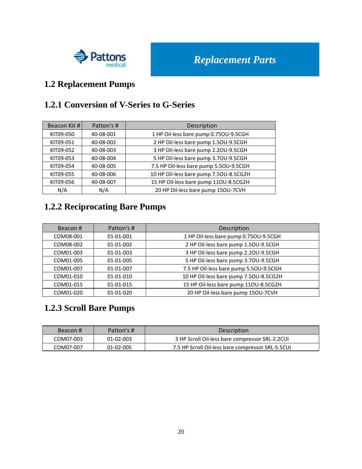

### **1.2 Replacement Pumps**

#### **1.2.1 Conversion of V-Series to G-Series**

| Beacon Kit # | Patton's # | Description                            |  |  |  |
|--------------|------------|----------------------------------------|--|--|--|
| KIT09-050    | 40-08-001  | 1 HP Oil-less bare pump 0.750U-9.5CGH  |  |  |  |
| KIT09-051    | 40-08-002  | 2 HP Oil-less bare pump 1.50U-9.5CGH   |  |  |  |
| KIT09-052    | 40-08-003  | 3 HP Oil-less bare pump 2.20U-9.5CGH   |  |  |  |
| KIT09-053    | 40-08-004  | 5 HP Oil-less bare pump 3.70U-9.5CGH   |  |  |  |
| KIT09-054    | 40-08-005  | 7.5 HP Oil-less bare pump 5.50U-9.5CGH |  |  |  |
| KIT09-055    | 40-08-006  | 10 HP Oil-less bare pump 7.50U-8.5CG2H |  |  |  |
| KIT09-056    | 40-08-007  | 15 HP Oil-less bare pump 11OU-8.5CG2H  |  |  |  |
| N/A          | N/A        | 20 HP Oil-less bare pump 15OU-7CVH     |  |  |  |

### **1.2.2 Reciprocating Bare Pumps**

| Beacon#   | Patton's # | Description                            |  |  |  |  |  |
|-----------|------------|----------------------------------------|--|--|--|--|--|
| COM08-001 | 01-01-001  | 1 HP Oil-less bare pump 0.75OU-9.5CGH  |  |  |  |  |  |
| COM08-002 | 01-01-002  | 2 HP Oil-less bare pump 1.50U-9.5CGH   |  |  |  |  |  |
| COM01-003 | 01-01-003  | 3 HP Oil-less bare pump 2.20U-9.5CGH   |  |  |  |  |  |
| COM01-005 | 01-01-005  | 5 HP Oil-less bare pump 3.70U-9.5CGH   |  |  |  |  |  |
| COM01-007 | 01-01-007  | 7.5 HP Oil-less bare pump 5.50U-9.5CGH |  |  |  |  |  |
| COM01-010 | 01-01-010  | 10 HP Oil-less bare pump 7.50U-8.5CG2H |  |  |  |  |  |
| COM01-015 | 01-01-015  | 15 HP Oil-less bare pump 11OU-8.5CG2H  |  |  |  |  |  |
| COM01-020 | 01-01-020  | 20 HP Oil-less bare pump 15OU-7CVH     |  |  |  |  |  |

### **1.2.3 Scroll Bare Pumps**

| Beacon#   | Patton's # | <b>Description</b>                                |
|-----------|------------|---------------------------------------------------|
| COM07-003 | 01-02-003  | 3 HP Scroll Oil-less bare compressor SRL-2.2CUI   |
| COM07-007 | 01-02-005  | 7.5 HP Scroll Oil-less bare compressor SRL-5.5CUI |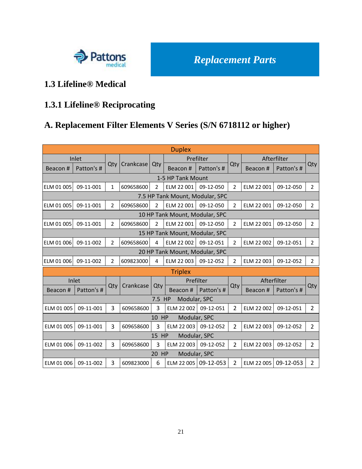

#### **1.3 Lifeline® Medical**

# **1.3.1 Lifeline® Reciprocating**

## **A. Replacement Filter Elements V Series (S/N 6718112 or higher)**

| <b>Duplex</b>                   |            |                |           |                |                                |              |                |             |             |                |
|---------------------------------|------------|----------------|-----------|----------------|--------------------------------|--------------|----------------|-------------|-------------|----------------|
|                                 | Inlet      |                |           |                |                                | Prefilter    |                |             | Afterfilter |                |
| Beacon#                         | Patton's # | Qty            | Crankcase | Qty            | Beacon#                        | Patton's #   | Qty            | Beacon#     | Patton's #  | Qty            |
|                                 |            |                |           |                | 1-5 HP Tank Mount              |              |                |             |             |                |
| <b>ELM 01 005</b>               | 09-11-001  | 1              | 609658600 | 2              | ELM 22 001                     | 09-12-050    | $\overline{2}$ | ELM 22 001  | 09-12-050   | $\overline{2}$ |
| 7.5 HP Tank Mount, Modular, SPC |            |                |           |                |                                |              |                |             |             |                |
| <b>ELM 01 005</b>               | 09-11-001  | $\overline{2}$ | 609658600 | $\overline{2}$ | ELM 22 001                     | 09-12-050    | $\overline{2}$ | ELM 22 001  | 09-12-050   | $\overline{2}$ |
| 10 HP Tank Mount, Modular, SPC  |            |                |           |                |                                |              |                |             |             |                |
| <b>ELM 01 005</b>               | 09-11-001  | $\overline{2}$ | 609658600 | $\overline{2}$ | ELM 22 001                     | 09-12-050    | $\overline{2}$ | ELM 22 001  | 09-12-050   | $\overline{2}$ |
|                                 |            |                |           |                | 15 HP Tank Mount, Modular, SPC |              |                |             |             |                |
| ELM 01 006                      | 09-11-002  | $\overline{2}$ | 609658600 | 4              | ELM 22 002                     | 09-12-051    | $\overline{2}$ | ELM 22 002  | 09-12-051   | $\overline{2}$ |
|                                 |            |                |           |                | 20 HP Tank Mount, Modular, SPC |              |                |             |             |                |
| ELM 01 006                      | 09-11-002  | $\overline{2}$ | 609823000 | 4              | ELM 22 003                     | 09-12-052    | $\overline{2}$ | ELM 22 003  | 09-12-052   | $\overline{2}$ |
|                                 |            |                |           |                | <b>Triplex</b>                 |              |                |             |             |                |
|                                 | Inlet      |                |           |                |                                | Prefilter    |                | Afterfilter |             |                |
| Beacon#                         | Patton's # | Qty            | Crankcase | Qty            | Beacon#                        | Patton's #   | Qty            | Beacon#     | Patton's #  | Qty            |
|                                 |            |                |           | 7.5 HP         | Modular, SPC                   |              |                |             |             |                |
| ELM 01 005                      | 09-11-001  | $\overline{3}$ | 609658600 | $\overline{3}$ | ELM 22 002                     | 09-12-051    | $\overline{2}$ | ELM 22 002  | 09-12-051   | $\overline{2}$ |
|                                 |            |                |           | 10 HP          | Modular, SPC                   |              |                |             |             |                |
| ELM 01 005                      | 09-11-001  | $\overline{3}$ | 609658600 | $\overline{3}$ | ELM 22 003                     | 09-12-052    | $\overline{2}$ | ELM 22 003  | 09-12-052   | $\overline{2}$ |
|                                 |            |                |           | 15 HP          |                                | Modular, SPC |                |             |             |                |
| ELM 01 006                      | 09-11-002  | 3              | 609658600 | $\overline{3}$ | ELM 22 003                     | 09-12-052    | $\overline{2}$ | ELM 22 003  | 09-12-052   | $\overline{2}$ |
|                                 |            |                |           | 20 HP          | Modular, SPC                   |              |                |             |             |                |
| ELM 01 006                      | 09-11-002  | $\overline{3}$ | 609823000 | 6              | ELM 22 005                     | 09-12-053    | $\overline{2}$ | ELM 22 005  | 09-12-053   | $\overline{2}$ |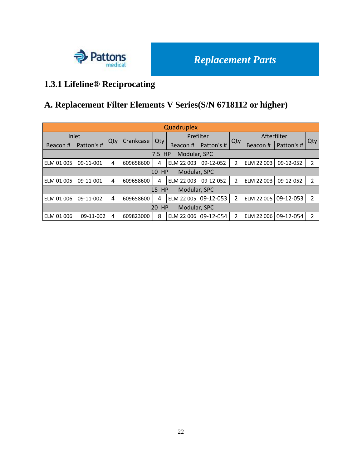

# **1.3.1 Lifeline® Reciprocating**

# **A. Replacement Filter Elements V Series(S/N 6718112 or higher)**

| Quadruplex               |                           |     |           |          |              |            |                |             |            |                |  |
|--------------------------|---------------------------|-----|-----------|----------|--------------|------------|----------------|-------------|------------|----------------|--|
|                          | Inlet                     |     |           |          | Prefilter    |            |                | Afterfilter |            |                |  |
| Beacon#                  | Patton's #                | Qty | Crankcase | Qty      | Beacon#      | Patton's # | Qty            | Beacon#     | Patton's # | Qty            |  |
|                          | Modular, SPC<br>HP<br>7.5 |     |           |          |              |            |                |             |            |                |  |
| ELM 01 005               | 09-11-001                 | 4   | 609658600 | 4        | ELM 22 003   | 09-12-052  | $\overline{2}$ | ELM 22 003  | 09-12-052  | 2              |  |
|                          |                           |     |           | HP<br>10 | Modular, SPC |            |                |             |            |                |  |
| ELM 01 005               | 09-11-001                 | 4   | 609658600 | 4        | ELM 22 003   | 09-12-052  | $\overline{2}$ | ELM 22 003  | 09-12-052  | 2              |  |
|                          |                           |     |           | 15 HP    | Modular, SPC |            |                |             |            |                |  |
| ELM 01 006               | 09-11-002                 | 4   | 609658600 | 4        | ELM 22 005   | 09-12-053  | $\overline{2}$ | ELM 22 005  | 09-12-053  | $\overline{2}$ |  |
| 20<br>HP<br>Modular, SPC |                           |     |           |          |              |            |                |             |            |                |  |
| ELM 01 006               | 09-11-002                 | 4   | 609823000 | 8        | ELM 22 006   | 09-12-054  | $\overline{2}$ | ELM 22 006  | 09-12-054  | $\overline{2}$ |  |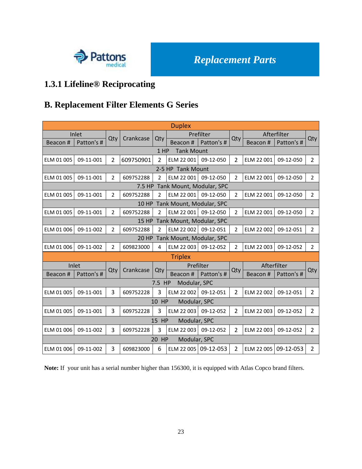

# **1.3.1 Lifeline® Reciprocating**

### **B. Replacement Filter Elements G Series**

| <b>Duplex</b> |                   |                |              |                |                          |            |                |             |             |                |
|---------------|-------------------|----------------|--------------|----------------|--------------------------|------------|----------------|-------------|-------------|----------------|
|               | Inlet             |                | Crankcase    |                |                          | Prefilter  |                |             | Afterfilter |                |
| Beacon #      | Patton's #        | Qty            |              | Qty            | Beacon#                  | Patton's # | Qty            | Beacon#     | Patton's #  | Qty            |
|               |                   |                |              | 1 HP           | <b>Tank Mount</b>        |            |                |             |             |                |
| ELM 01 005    | 09-11-001         | $\overline{2}$ | 609750901    | $\overline{2}$ | ELM 22 001               | 09-12-050  | $\overline{2}$ | ELM 22 001  | 09-12-050   | $\overline{2}$ |
|               | 2-5 HP Tank Mount |                |              |                |                          |            |                |             |             |                |
| ELM 01 005    | 09-11-001         | 2              | 609752288    | 2              | ELM 22 001               | 09-12-050  | $\overline{2}$ | ELM 22 001  | 09-12-050   | $\overline{2}$ |
|               |                   |                | 7.5 HP       |                | Tank Mount, Modular, SPC |            |                |             |             |                |
| ELM 01 005    | 09-11-001         | $\overline{2}$ | 609752288    | $\overline{2}$ | ELM 22 001               | 09-12-050  | $\overline{2}$ | ELM 22 001  | 09-12-050   | $\overline{2}$ |
|               |                   |                | 10 HP        |                | Tank Mount, Modular, SPC |            |                |             |             |                |
| ELM 01 005    | 09-11-001         | $\overline{2}$ | 609752288    | $\overline{2}$ | ELM 22 001               | 09-12-050  | $\overline{2}$ | ELM 22 001  | 09-12-050   | $\overline{2}$ |
|               |                   |                | <b>15 HP</b> |                | Tank Mount, Modular, SPC |            |                |             |             |                |
| ELM 01 006    | 09-11-002         | $\overline{2}$ | 609752288    | $\overline{2}$ | ELM 22 002               | 09-12-051  | $\overline{2}$ | ELM 22 002  | 09-12-051   | $\overline{2}$ |
|               |                   |                | <b>20 HP</b> |                | Tank Mount, Modular, SPC |            |                |             |             |                |
| ELM 01 006    | 09-11-002         | $\overline{2}$ | 609823000    | 4              | ELM 22 003               | 09-12-052  | $\overline{2}$ | ELM 22 003  | 09-12-052   | $\overline{2}$ |
|               |                   |                |              |                | <b>Triplex</b>           |            |                |             |             |                |
|               | Inlet             |                |              |                | Prefilter                |            |                | Afterfilter |             |                |
| Beacon#       | Patton's #        | Qty            | Crankcase    | Qty            | Beacon#                  | Patton's # | Qty            | Beacon#     | Patton's #  | Qty            |
|               |                   |                |              | 7.5 HP         | Modular, SPC             |            |                |             |             |                |
| ELM 01 005    | 09-11-001         | 3              | 609752228    | 3              | ELM 22 002               | 09-12-051  | 2              | ELM 22 002  | 09-12-051   | $\overline{2}$ |
|               |                   |                |              | 10 HP          | Modular, SPC             |            |                |             |             |                |
| ELM 01 005    | 09-11-001         | 3              | 609752228    | 3              | ELM 22 003               | 09-12-052  | $\overline{2}$ | ELM 22 003  | 09-12-052   | $\overline{2}$ |
|               |                   |                |              | 15 HP          | Modular, SPC             |            |                |             |             |                |
| ELM 01 006    | 09-11-002         | 3              | 609752228    | 3              | ELM 22 003               | 09-12-052  | $\overline{2}$ | ELM 22 003  | 09-12-052   | $\overline{2}$ |
|               |                   |                |              | 20 HP          | Modular, SPC             |            |                |             |             |                |
| ELM 01 006    | 09-11-002         | 3              | 609823000    | 6              | ELM 22 005 09-12-053     |            | $\overline{2}$ | ELM 22 005  | 09-12-053   | $\overline{2}$ |

**Note:** If your unit has a serial number higher than 156300, it is equipped with Atlas Copco brand filters.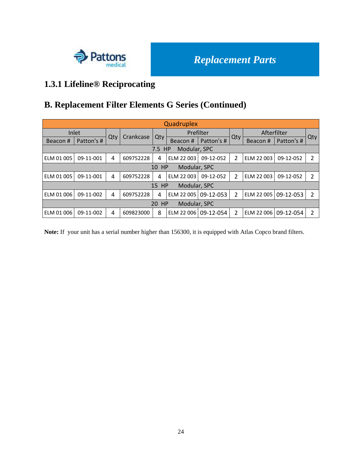

# **1.3.1 Lifeline® Reciprocating**

### **B. Replacement Filter Elements G Series (Continued)**

| Quadruplex                |            |                |           |                       |              |            |                |             |            |     |
|---------------------------|------------|----------------|-----------|-----------------------|--------------|------------|----------------|-------------|------------|-----|
|                           | Inlet      | Qty            | Crankcase | Qty                   | Prefilter    |            | Qty            | Afterfilter |            |     |
| Beacon#                   | Patton's # |                |           |                       | Beacon#      | Patton's # |                | Beacon#     | Patton's # | Qty |
| Modular, SPC<br>7.5<br>HP |            |                |           |                       |              |            |                |             |            |     |
| ELM 01 005                | 09-11-001  | 4              | 609752228 | 4                     | ELM 22 003   | 09-12-052  | $\overline{2}$ | ELM 22 003  | 09-12-052  | 2   |
|                           |            |                |           | HP<br>10              | Modular, SPC |            |                |             |            |     |
| ELM 01 005                | 09-11-001  | $\overline{a}$ | 609752228 | 4                     | ELM 22 003   | 09-12-052  | $\overline{2}$ | ELM 22 003  | 09-12-052  | 2   |
|                           |            |                |           | HP<br>15 <sup>2</sup> | Modular, SPC |            |                |             |            |     |
| ELM 01 006                | 09-11-002  | $\overline{a}$ | 609752228 | 4                     | ELM 22 005   | 09-12-053  | $\overline{2}$ | ELM 22 005  | 09-12-053  | 2   |
| HP<br>Modular, SPC<br>20  |            |                |           |                       |              |            |                |             |            |     |
| ELM 01 006                | 09-11-002  | 4              | 609823000 | 8                     | ELM 22 006   | 09-12-054  | $\overline{2}$ | ELM 22 006  | 09-12-054  | 2   |

**Note:** If your unit has a serial number higher than 156300, it is equipped with Atlas Copco brand filters.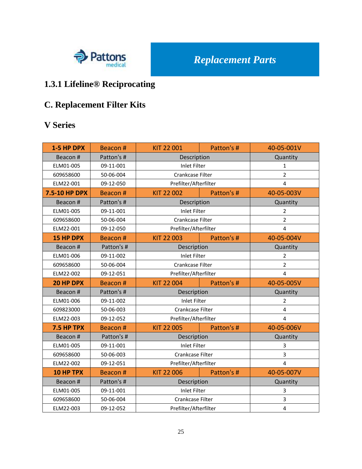

# **1.3.1 Lifeline® Reciprocating**

# **C. Replacement Filter Kits**

### **V Series**

| 1-5 HP DPX       | Beacon#    | KIT 22 001            | Patton's #     | 40-05-001V              |
|------------------|------------|-----------------------|----------------|-------------------------|
| Beacon#          | Patton's # | Description           |                | Quantity                |
| ELM01-005        | 09-11-001  | <b>Inlet Filter</b>   |                | $\mathbf{1}$            |
| 609658600        | 50-06-004  | Crankcase Filter      |                | $\overline{2}$          |
| ELM22-001        | 09-12-050  | Prefilter/Afterfilter |                | 4                       |
| 7.5-10 HP DPX    | Beacon#    | KIT 22 002            | Patton's #     | 40-05-003V              |
| Beacon #         | Patton's # | Description           |                | Quantity                |
| ELM01-005        | 09-11-001  | <b>Inlet Filter</b>   |                | $\overline{2}$          |
| 609658600        | 50-06-004  | Crankcase Filter      |                | $\overline{2}$          |
| ELM22-001        | 09-12-050  | Prefilter/Afterfilter |                | $\overline{4}$          |
| <b>15 HP DPX</b> | Beacon #   | KIT 22 003            | Patton's #     | 40-05-004V              |
| Beacon #         | Patton's # | Description           |                | Quantity                |
| ELM01-006        | 09-11-002  | <b>Inlet Filter</b>   | $\overline{2}$ |                         |
| 609658600        | 50-06-004  | Crankcase Filter      | $\overline{2}$ |                         |
| ELM22-002        | 09-12-051  | Prefilter/Afterfilter | $\overline{4}$ |                         |
| 20 HP DPX        | Beacon#    | <b>KIT 22 004</b>     | Patton's #     | 40-05-005V              |
| Beacon #         | Patton's # | Description           |                | Quantity                |
| ELM01-006        | 09-11-002  | <b>Inlet Filter</b>   |                | $\overline{2}$          |
| 609823000        | 50-06-003  | Crankcase Filter      |                | $\overline{\mathbf{4}}$ |
| ELM22-003        | 09-12-052  | Prefilter/Afterfilter |                | $\overline{4}$          |
| 7.5 HP TPX       | Beacon#    | KIT 22 005            | Patton's #     | 40-05-006V              |
| Beacon #         | Patton's # | Description           |                | Quantity                |
| ELM01-005        | 09-11-001  | <b>Inlet Filter</b>   |                | 3                       |
| 609658600        | 50-06-003  | Crankcase Filter      |                | 3                       |
| ELM22-002        | 09-12-051  | Prefilter/Afterfilter |                | $\overline{4}$          |
| 10 HP TPX        | Beacon #   | KIT 22 006            | Patton's #     | 40-05-007V              |
| Beacon #         | Patton's # | Description           |                | Quantity                |
| ELM01-005        | 09-11-001  | <b>Inlet Filter</b>   |                | 3                       |
| 609658600        | 50-06-004  | Crankcase Filter      |                | 3                       |
| ELM22-003        | 09-12-052  | Prefilter/Afterfilter |                | $\overline{\mathbf{4}}$ |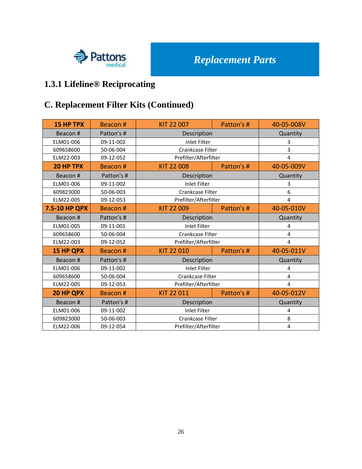

# **1.3.1 Lifeline® Reciprocating**

# **C. Replacement Filter Kits (Continued)**

| <b>15 HP TPX</b> | Beacon#    | KIT 22 007            | Patton's #            | 40-05-008V     |  |  |
|------------------|------------|-----------------------|-----------------------|----------------|--|--|
| Beacon#          | Patton's # | Description           | Quantity              |                |  |  |
| ELM01-006        | 09-11-002  | <b>Inlet Filter</b>   |                       | 3              |  |  |
| 609658600        | 50-06-004  | Crankcase Filter      |                       | $\overline{3}$ |  |  |
| ELM22-003        | 09-12-052  | Prefilter/Afterfilter |                       | $\overline{4}$ |  |  |
| 20 HP TPX        | Beacon#    | <b>KIT 22 008</b>     | Patton's #            | 40-05-009V     |  |  |
| Beacon#          | Patton's # | Description           |                       | Quantity       |  |  |
| ELM01-006        | 09-11-002  | <b>Inlet Filter</b>   |                       | 3              |  |  |
| 609823000        | 50-06-003  | Crankcase Filter      |                       | 6              |  |  |
| ELM22-005        | 09-12-053  |                       | Prefilter/Afterfilter |                |  |  |
| 7.5-10 HP QPX    | Beacon#    | KIT 22 009            | Patton's #            | 40-05-010V     |  |  |
| Beacon#          | Patton's # | Description           | Quantity              |                |  |  |
| ELM01-005        | 09-11-001  | <b>Inlet Filter</b>   | 4                     |                |  |  |
| 609658600        | 50-06-004  | Crankcase Filter      |                       | $\overline{4}$ |  |  |
| ELM22-003        | 09-12-052  | Prefilter/Afterfilter |                       | $\overline{4}$ |  |  |
| 15 HP QPX        | Beacon#    | KIT 22 010            | Patton's #            | 40-05-011V     |  |  |
| Beacon#          | Patton's # | Description           |                       | Quantity       |  |  |
| ELM01-006        | 09-11-002  | <b>Inlet Filter</b>   |                       | 4              |  |  |
| 609658600        | 50-06-004  | Crankcase Filter      |                       | 4              |  |  |
| ELM22-005        | 09-12-053  | Prefilter/Afterfilter |                       | 4              |  |  |
| 20 HP QPX        | Beacon#    | KIT 22 011            | Patton's #            | 40-05-012V     |  |  |
| Beacon#          | Patton's # | Description           |                       | Quantity       |  |  |
| ELM01-006        | 09-11-002  | <b>Inlet Filter</b>   |                       | 4              |  |  |
| 609823000        | 50-06-003  | Crankcase Filter      |                       | 8              |  |  |
| ELM22-006        | 09-12-054  | Prefilter/Afterfilter |                       | $\overline{4}$ |  |  |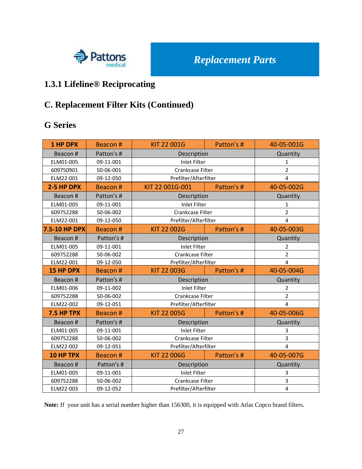

### **1.3.1 Lifeline® Reciprocating**

### **C. Replacement Filter Kits (Continued)**

#### **G Series**

| <b>1 HP DPX</b>  | Beacon #   | KIT 22 001G           | Patton's # | 40-05-001G              |
|------------------|------------|-----------------------|------------|-------------------------|
| Beacon#          | Patton's # | Description           |            | Quantity                |
| ELM01-005        | 09-11-001  | <b>Inlet Filter</b>   |            | $\mathbf{1}$            |
| 609750901        | 50-06-001  | Crankcase Filter      |            | $\overline{2}$          |
| ELM22-001        | 09-12-050  | Prefilter/Afterfilter |            | $\overline{4}$          |
| 2-5 HP DPX       | Beacon #   | KIT 22 001G-001       | Patton's # | 40-05-002G              |
| Beacon#          | Patton's # | Description           |            | Quantity                |
| ELM01-005        | 09-11-001  | <b>Inlet Filter</b>   |            | 1                       |
| 609752288        | 50-06-002  | Crankcase Filter      |            | $\overline{2}$          |
| ELM22-001        | 09-12-050  | Prefilter/Afterfilter |            | $\overline{4}$          |
| 7.5-10 HP DPX    | Beacon #   | KIT 22 002G           | Patton's # | 40-05-003G              |
| Beacon#          | Patton's # | Description           |            | Quantity                |
| ELM01-005        | 09-11-001  | <b>Inlet Filter</b>   |            | $\overline{2}$          |
| 609752288        | 50-06-002  | Crankcase Filter      |            | $\overline{2}$          |
| ELM22-001        | 09-12-050  | Prefilter/Afterfilter |            | $\overline{4}$          |
| <b>15 HP DPX</b> | Beacon #   | KIT 22 003G           | Patton's # |                         |
| Beacon#          | Patton's # | Description           |            | Quantity                |
| ELM01-006        | 09-11-002  | <b>Inlet Filter</b>   |            | $\overline{2}$          |
| 609752288        | 50-06-002  | Crankcase Filter      |            | $\overline{2}$          |
| ELM22-002        | 09-12-051  | Prefilter/Afterfilter |            | $\overline{4}$          |
| 7.5 HP TPX       | Beacon #   | <b>KIT 22 005G</b>    | Patton's # | 40-05-006G              |
| Beacon#          | Patton's # | Description           |            | Quantity                |
| ELM01-005        | 09-11-001  | <b>Inlet Filter</b>   |            | 3                       |
| 609752288        | 50-06-002  | Crankcase Filter      |            | 3                       |
| ELM22-002        | 09-12-051  | Prefilter/Afterfilter |            | $\overline{\mathbf{A}}$ |
| 10 HP TPX        | Beacon #   | <b>KIT 22 006G</b>    | Patton's # | 40-05-007G              |
| Beacon#          | Patton's # | Description           |            | Quantity                |
| ELM01-005        | 09-11-001  | <b>Inlet Filter</b>   |            | 3                       |
| 609752288        | 50-06-002  | Crankcase Filter      |            | 3                       |
| ELM22-003        | 09-12-052  | Prefilter/Afterfilter |            | 4                       |

**Note:** If your unit has a serial number higher than 156300, it is equipped with Atlas Copco brand filters.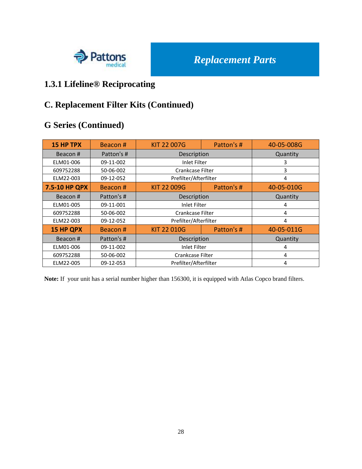

## **1.3.1 Lifeline® Reciprocating**

### **C. Replacement Filter Kits (Continued)**

### **G Series (Continued)**

| <b>15 HP TPX</b> | Beacon#    | <b>KIT 22 007G</b>    | Patton's # | 40-05-008G |
|------------------|------------|-----------------------|------------|------------|
| Beacon#          | Patton's # | Description           |            | Quantity   |
| ELM01-006        | 09-11-002  | Inlet Filter          |            | 3          |
| 609752288        | 50-06-002  | Crankcase Filter      |            | 3          |
| ELM22-003        | 09-12-052  | Prefilter/Afterfilter |            | 4          |
| 7.5-10 HP QPX    | Beacon#    | <b>KIT 22 009G</b>    | Patton's # | 40-05-010G |
| Beacon#          | Patton's # | Description           |            | Quantity   |
| ELM01-005        | 09-11-001  | <b>Inlet Filter</b>   |            | 4          |
| 609752288        | 50-06-002  | Crankcase Filter      |            | 4          |
| ELM22-003        | 09-12-052  | Prefilter/Afterfilter |            | 4          |
| <b>15 HP QPX</b> | Beacon#    | <b>KIT 22 010G</b>    | Patton's # | 40-05-011G |
| Beacon#          | Patton's # | Description           |            | Quantity   |
| ELM01-006        | 09-11-002  | Inlet Filter          |            | 4          |
| 609752288        | 50-06-002  | Crankcase Filter      |            | 4          |
| ELM22-005        | 09-12-053  | Prefilter/Afterfilter |            | 4          |

**Note:** If your unit has a serial number higher than 156300, it is equipped with Atlas Copco brand filters.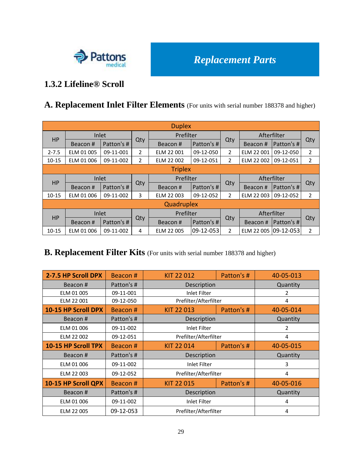

#### **1.3.2 Lifeline® Scroll**

#### **A. Replacement Inlet Filter Elements** (For units with serial number 188378 and higher)

| <b>Duplex</b> |                |            |                |            |            |                |                      |             |                |
|---------------|----------------|------------|----------------|------------|------------|----------------|----------------------|-------------|----------------|
| <b>HP</b>     |                | Inlet      |                | Prefilter  |            |                |                      | Afterfilter |                |
|               | Beacon #       | Patton's # | Qty            | Beacon#    | Patton's # | Qty            | Beacon#              | Patton's #  | Qty            |
| $2 - 7.5$     | ELM 01 005     | 09-11-001  | $\overline{2}$ | ELM 22 001 | 09-12-050  | $\overline{2}$ | ELM 22 001           | 09-12-050   | $\overline{2}$ |
| $10 - 15$     | ELM 01 006     | 09-11-002  | 2              | ELM 22 002 | 09-12-051  | $\overline{2}$ | ELM 22 002           | 09-12-051   | $\overline{2}$ |
|               | <b>Triplex</b> |            |                |            |            |                |                      |             |                |
| <b>HP</b>     |                | Inlet      |                | Prefilter  |            |                | Afterfilter          |             |                |
|               | Beacon#        | Patton's # | Qty            | Beacon#    | Patton's # | Qty            | Beacon#              | Patton's #  | Qty            |
| $10 - 15$     | ELM 01 006     | 09-11-002  | 3              | ELM 22 003 | 09-12-052  | $\overline{2}$ | ELM 22 003           | 09-12-052   | $\overline{2}$ |
| Quadruplex    |                |            |                |            |            |                |                      |             |                |
| HP            |                | Inlet      |                | Prefilter  |            | Afterfilter    |                      |             |                |
|               | Beacon#        | Patton's # | Qty            | Beacon#    | Patton's # | Qty            | Beacon#              | Patton's #  | Qty            |
| $10 - 15$     | ELM 01 006     | 09-11-002  | 4              | ELM 22 005 | 09-12-053  | $\overline{2}$ | ELM 22 005 09-12-053 |             | $\overline{2}$ |

### **B. Replacement Filter Kits** (For units with serial number 188378 and higher)

| 2-7.5 HP Scroll DPX | Beacon#    | KIT 22 012            | Patton's # | 40-05-013 |
|---------------------|------------|-----------------------|------------|-----------|
| Beacon#             | Patton's # | Description           |            | Quantity  |
| ELM 01 005          | 09-11-001  | <b>Inlet Filter</b>   |            | 2         |
| ELM 22 001          | 09-12-050  | Prefilter/Afterfilter |            | 4         |
| 10-15 HP Scroll DPX | Beacon#    | KIT 22 013            | Patton's # | 40-05-014 |
| Beacon#             | Patton's # | Description           |            | Quantity  |
| ELM 01 006          | 09-11-002  | <b>Inlet Filter</b>   |            | 2         |
| ELM 22 002          | 09-12-051  | Prefilter/Afterfilter |            | 4         |
| 10-15 HP Scroll TPX | Beacon#    | KIT 22 014            | Patton's # |           |
| Beacon#             | Patton's # | Description           |            | Quantity  |
| ELM 01 006          | 09-11-002  | <b>Inlet Filter</b>   |            | 3         |
| ELM 22 003          | 09-12-052  | Prefilter/Afterfilter |            | 4         |
| 10-15 HP Scroll QPX | Beacon#    | KIT 22 015            | Patton's # | 40-05-016 |
| Beacon#             | Patton's # | Description           |            | Quantity  |
| ELM 01 006          | 09-11-002  | <b>Inlet Filter</b>   |            | 4         |
| ELM 22 005          | 09-12-053  | Prefilter/Afterfilter |            | 4         |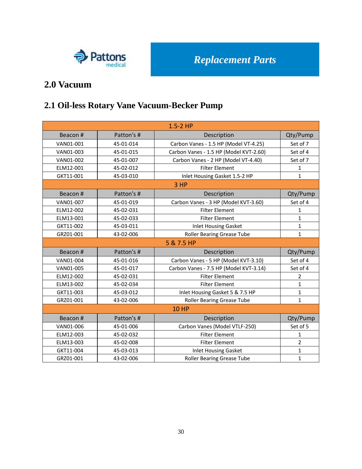

### **2.0 Vacuum**

## **2.1 Oil-less Rotary Vane Vacuum-Becker Pump**

| $1.5 - 2$ HP |            |                                        |                |  |  |
|--------------|------------|----------------------------------------|----------------|--|--|
| Beacon#      | Patton's # | Description                            | Qty/Pump       |  |  |
| VAN01-001    | 45-01-014  | Carbon Vanes - 1.5 HP (Model VT-4.25)  | Set of 7       |  |  |
| VAN01-003    | 45-01-015  | Carbon Vanes - 1.5 HP (Model KVT-2.60) | Set of 4       |  |  |
| VAN01-002    | 45-01-007  | Carbon Vanes - 2 HP (Model VT-4.40)    | Set of 7       |  |  |
| ELM12-001    | 45-02-012  | <b>Filter Element</b>                  | $\mathbf{1}$   |  |  |
| GKT11-001    | 45-03-010  | Inlet Housing Gasket 1.5-2 HP          | $\mathbf{1}$   |  |  |
|              |            | 3HP                                    |                |  |  |
| Beacon #     | Patton's # | Description                            | Qty/Pump       |  |  |
| VAN01-007    | 45-01-019  | Carbon Vanes - 3 HP (Model KVT-3.60)   | Set of 4       |  |  |
| ELM12-002    | 45-02-031  | <b>Filter Element</b>                  | 1              |  |  |
| ELM13-001    | 45-02-033  | <b>Filter Element</b>                  | $\mathbf{1}$   |  |  |
| GKT11-002    | 45-03-011  | <b>Inlet Housing Gasket</b>            | $\mathbf{1}$   |  |  |
| GRZ01-001    | 43-02-006  | Roller Bearing Grease Tube             | $\mathbf{1}$   |  |  |
|              |            | 5 & 7.5 HP                             |                |  |  |
| Beacon#      | Patton's # | Description                            | Qty/Pump       |  |  |
| VAN01-004    | 45-01-016  | Carbon Vanes - 5 HP (Model KVT-3.10)   | Set of 4       |  |  |
| VAN01-005    | 45-01-017  | Carbon Vanes - 7.5 HP (Model KVT-3.14) | Set of 4       |  |  |
| ELM12-002    | 45-02-031  | <b>Filter Element</b>                  | $\overline{2}$ |  |  |
| ELM13-002    | 45-02-034  | <b>Filter Element</b>                  | $\mathbf{1}$   |  |  |
| GKT11-003    | 45-03-012  | Inlet Housing Gasket 5 & 7.5 HP        | $\mathbf{1}$   |  |  |
| GRZ01-001    | 43-02-006  | <b>Roller Bearing Grease Tube</b>      | $\mathbf{1}$   |  |  |
|              |            | <b>10 HP</b>                           |                |  |  |
| Beacon#      | Patton's # | Description                            | Qty/Pump       |  |  |
| VAN01-006    | 45-01-006  | Carbon Vanes (Model VTLF-250)          | Set of 5       |  |  |
| ELM12-003    | 45-02-032  | <b>Filter Element</b>                  | 1              |  |  |
| ELM13-003    | 45-02-008  | <b>Filter Element</b>                  | $\overline{2}$ |  |  |
| GKT11-004    | 45-03-013  | <b>Inlet Housing Gasket</b>            | $\mathbf{1}$   |  |  |
| GRZ01-001    | 43-02-006  | <b>Roller Bearing Grease Tube</b>      | $\mathbf{1}$   |  |  |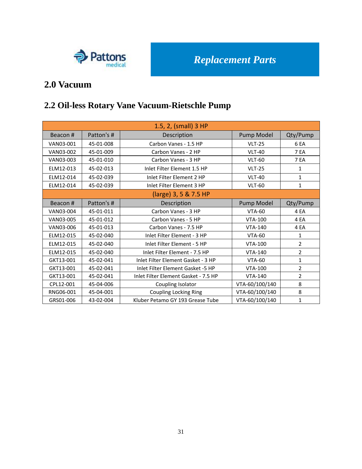

### **2.0 Vacuum**

# **2.2 Oil-less Rotary Vane Vacuum-Rietschle Pump**

|           | 1.5, 2, (small) 3 HP |                                      |                |                 |  |  |
|-----------|----------------------|--------------------------------------|----------------|-----------------|--|--|
| Beacon#   | Patton's #           | Description                          | Pump Model     | Qty/Pump        |  |  |
| VAN03-001 | 45-01-008            | Carbon Vanes - 1.5 HP                | <b>VLT-25</b>  | 6 <sub>EA</sub> |  |  |
| VAN03-002 | 45-01-009            | Carbon Vanes - 2 HP                  | <b>VLT-40</b>  | 7 EA            |  |  |
| VAN03-003 | 45-01-010            | Carbon Vanes - 3 HP                  | <b>VLT-60</b>  | 7 EA            |  |  |
| ELM12-013 | 45-02-013            | Inlet Filter Element 1.5 HP          | <b>VLT-25</b>  | $\mathbf{1}$    |  |  |
| ELM12-014 | 45-02-039            | Inlet Filter Element 2 HP            | <b>VLT-40</b>  | $\mathbf{1}$    |  |  |
| ELM12-014 | 45-02-039            | Inlet Filter Element 3 HP            | <b>VLT-60</b>  | $\mathbf{1}$    |  |  |
|           |                      | (large) 3, 5 & 7.5 HP                |                |                 |  |  |
| Beacon#   | Patton's #           | Description                          | Pump Model     | Qty/Pump        |  |  |
| VAN03-004 | 45-01-011            | Carbon Vanes - 3 HP                  | <b>VTA-60</b>  | 4 EA            |  |  |
| VAN03-005 | 45-01-012            | Carbon Vanes - 5 HP                  | <b>VTA-100</b> | 4 EA            |  |  |
| VAN03-006 | 45-01-013            | Carbon Vanes - 7.5 HP                | <b>VTA-140</b> | 4 EA            |  |  |
| ELM12-015 | 45-02-040            | Inlet Filter Element - 3 HP          | <b>VTA-60</b>  | $\mathbf{1}$    |  |  |
| ELM12-015 | 45-02-040            | Inlet Filter Element - 5 HP          | <b>VTA-100</b> | $\overline{2}$  |  |  |
| ELM12-015 | 45-02-040            | Inlet Filter Element - 7.5 HP        | <b>VTA-140</b> | $\overline{2}$  |  |  |
| GKT13-001 | 45-02-041            | Inlet Filter Element Gasket - 3 HP   | <b>VTA-60</b>  | $\mathbf{1}$    |  |  |
| GKT13-001 | 45-02-041            | Inlet Filter Element Gasket -5 HP    | <b>VTA-100</b> | $\overline{2}$  |  |  |
| GKT13-001 | 45-02-041            | Inlet Filter Element Gasket - 7.5 HP | <b>VTA-140</b> | $\overline{2}$  |  |  |
| CPL12-001 | 45-04-006            | Coupling Isolator                    | VTA-60/100/140 | 8               |  |  |
| RNG06-001 | 45-04-001            | <b>Coupling Locking Ring</b>         | VTA-60/100/140 | 8               |  |  |
| GRS01-006 | 43-02-004            | Kluber Petamo GY 193 Grease Tube     | VTA-60/100/140 | $\mathbf{1}$    |  |  |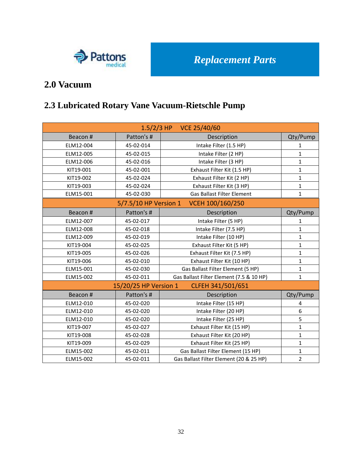

### **2.0 Vacuum**

# **2.3 Lubricated Rotary Vane Vacuum-Rietschle Pump**

| 1.5/2/3 HP VCE 25/40/60 |                       |                                          |                |  |  |
|-------------------------|-----------------------|------------------------------------------|----------------|--|--|
| Beacon#                 | Patton's #            | Description                              | Qty/Pump       |  |  |
| ELM12-004               | 45-02-014             | Intake Filter (1.5 HP)                   | 1              |  |  |
| ELM12-005               | 45-02-015             | Intake Filter (2 HP)                     | $\mathbf{1}$   |  |  |
| ELM12-006               | 45-02-016             | Intake Filter (3 HP)                     | $\mathbf{1}$   |  |  |
| KIT19-001               | 45-02-001             | Exhaust Filter Kit (1.5 HP)              | $\mathbf{1}$   |  |  |
| KIT19-002               | 45-02-024             | Exhaust Filter Kit (2 HP)                | $\mathbf{1}$   |  |  |
| KIT19-003               | 45-02-024             | Exhaust Filter Kit (3 HP)                | $\mathbf{1}$   |  |  |
| ELM15-001               | 45-02-030             | <b>Gas Ballast Filter Element</b>        | $\mathbf{1}$   |  |  |
|                         | 5/7.5/10 HP Version 1 | VCEH 100/160/250                         |                |  |  |
| Beacon#                 | Patton's #            | Description                              | Qty/Pump       |  |  |
| ELM12-007               | 45-02-017             | Intake Filter (5 HP)                     | 1              |  |  |
| ELM12-008               | 45-02-018             | Intake Filter (7.5 HP)                   | $\mathbf{1}$   |  |  |
| ELM12-009               | 45-02-019             | Intake Filter (10 HP)                    | $\mathbf{1}$   |  |  |
| KIT19-004               | 45-02-025             | Exhaust Filter Kit (5 HP)                | $\mathbf{1}$   |  |  |
| KIT19-005               | 45-02-026             | Exhaust Filter Kit (7.5 HP)              | $\mathbf{1}$   |  |  |
| KIT19-006               | 45-02-010             | Exhaust Filter Kit (10 HP)               | $\mathbf{1}$   |  |  |
| ELM15-001               | 45-02-030             | Gas Ballast Filter Element (5 HP)        | $\mathbf{1}$   |  |  |
| ELM15-002               | 45-02-011             | Gas Ballast Filter Element (7.5 & 10 HP) | $\mathbf{1}$   |  |  |
|                         | 15/20/25 HP Version 1 | CLFEH 341/501/651                        |                |  |  |
| Beacon #                | Patton's #            | Description                              | Qty/Pump       |  |  |
| ELM12-010               | 45-02-020             | Intake Filter (15 HP)                    | 4              |  |  |
| ELM12-010               | 45-02-020             | Intake Filter (20 HP)                    | 6              |  |  |
| ELM12-010               | 45-02-020             | Intake Filter (25 HP)                    | 5              |  |  |
| KIT19-007               | 45-02-027             | Exhaust Filter Kit (15 HP)               | $\mathbf{1}$   |  |  |
| KIT19-008               | 45-02-028             | Exhaust Filter Kit (20 HP)               | $\mathbf{1}$   |  |  |
| KIT19-009               | 45-02-029             | Exhaust Filter Kit (25 HP)               | $\mathbf{1}$   |  |  |
| ELM15-002               | 45-02-011             | Gas Ballast Filter Element (15 HP)       | $\mathbf{1}$   |  |  |
| ELM15-002               | 45-02-011             | Gas Ballast Filter Element (20 & 25 HP)  | $\overline{2}$ |  |  |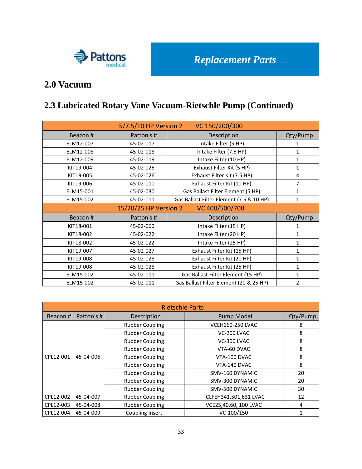

### **2.0 Vacuum**

# **2.3 Lubricated Rotary Vane Vacuum-Rietschle Pump (Continued)**

| 5/7.5/10 HP Version 2<br>VC 150/200/300 |                       |                                          |              |  |
|-----------------------------------------|-----------------------|------------------------------------------|--------------|--|
| Beacon#                                 | Patton's #            | Description                              | Qty/Pump     |  |
| ELM12-007                               | 45-02-017             | Intake Filter (5 HP)                     |              |  |
| ELM12-008                               | 45-02-018             | Intake Filter (7.5 HP)                   | 1            |  |
| ELM12-009                               | 45-02-019             | Intake Filter (10 HP)                    | 1            |  |
| KIT19-004                               | 45-02-025             | Exhaust Filter Kit (5 HP)                | 1            |  |
| KIT19-005                               | 45-02-026             | Exhaust Filter Kit (7.5 HP)              | 4            |  |
| KIT19-006                               | 45-02-010             | Exhaust Filter Kit (10 HP)               | 7            |  |
| ELM15-001                               | 45-02-030             | Gas Ballast Filter Element (5 HP)        | 1            |  |
| ELM15-002                               | 45-02-011             | Gas Ballast Filter Element (7.5 & 10 HP) | 1            |  |
|                                         | 15/20/25 HP Version 2 | VC 400/500/700                           |              |  |
| Beacon#                                 | Patton's #            | Description                              | Qty/Pump     |  |
| KIT18-001                               | 45-02-060             | Intake Filter (15 HP)                    |              |  |
| KIT18-002                               | 45-02-022             | Intake Filter (20 HP)                    | 1            |  |
| KIT18-002                               |                       |                                          |              |  |
|                                         | 45-02-022             | Intake Filter (25 HP)                    | 1            |  |
| KIT19-007                               | 45-02-027             | Exhaust Filter Kit (15 HP)               | $\mathbf{1}$ |  |
| KIT19-008                               | 45-02-028             | Exhaust Filter Kit (20 HP)               | 1            |  |
| KIT19-008                               | 45-02-028             | Exhaust Filter Kit (25 HP)               | 1            |  |
| ELM15-002                               | 45-02-011             | Gas Ballast Filter Element (15 HP)       | 1            |  |

|                        | <b>Rietschle Parts</b> |                        |                         |          |  |  |  |
|------------------------|------------------------|------------------------|-------------------------|----------|--|--|--|
| Beacon #               | Patton's #             | Description            | Pump Model              | Qty/Pump |  |  |  |
|                        |                        | <b>Rubber Coupling</b> | <b>VCEH160-250 LVAC</b> | 8        |  |  |  |
| CPL12-001<br>45-04-006 |                        | <b>Rubber Coupling</b> | VC-200 LVAC             | 8        |  |  |  |
|                        |                        | <b>Rubber Coupling</b> | VC-300 LVAC             | 8        |  |  |  |
|                        |                        | <b>Rubber Coupling</b> | VTA-60 DVAC             | 8        |  |  |  |
|                        |                        | <b>Rubber Coupling</b> | VTA-100 DVAC            | 8        |  |  |  |
|                        |                        | <b>Rubber Coupling</b> | VTA-140 DVAC            | 8        |  |  |  |
|                        |                        | <b>Rubber Coupling</b> | SMV-160 DYNAMIC         | 20       |  |  |  |
|                        |                        | <b>Rubber Coupling</b> | SMV-300 DYNAMIC         | 20       |  |  |  |
|                        |                        | <b>Rubber Coupling</b> | SMV-500 DYNAMIC         | 30       |  |  |  |
| CPL12-002              | 45-04-007              | <b>Rubber Coupling</b> | CLFEH341,501,631 LVAC   | 12       |  |  |  |
| CPL12-003              | 45-04-008              | <b>Rubber Coupling</b> | VCE25,40,60, 100 LVAC   | 4        |  |  |  |
| CPL12-004              | 45-04-009              | Coupling Insert        | $VC-100/150$            |          |  |  |  |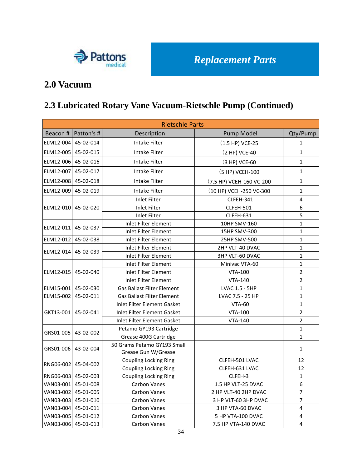

### **2.0 Vacuum**

# **2.3 Lubricated Rotary Vane Vacuum-Rietschle Pump (Continued)**

|                     | <b>Rietschle Parts</b> |                                                    |                          |                         |  |  |  |
|---------------------|------------------------|----------------------------------------------------|--------------------------|-------------------------|--|--|--|
|                     | Beacon #   Patton's #  | Description                                        | <b>Pump Model</b>        | Qty/Pump                |  |  |  |
| ELM12-004           | 45-02-014              | Intake Filter                                      | $(1.5 HP)$ VCE-25        | $\mathbf{1}$            |  |  |  |
| ELM12-005           | 45-02-015              | Intake Filter                                      | (2 HP) VCE-40            | $\mathbf{1}$            |  |  |  |
| ELM12-006           | 45-02-016              | <b>Intake Filter</b>                               | (3 HP) VCE-60            | $\mathbf{1}$            |  |  |  |
| ELM12-007           | 45-02-017              | Intake Filter                                      | (5 HP) VCEH-100          | $\mathbf 1$             |  |  |  |
| ELM12-008           | 45-02-018              | Intake Filter                                      | (7.5 HP) VCEH-160 VC-200 | $\mathbf{1}$            |  |  |  |
| ELM12-009           | 45-02-019              | Intake Filter                                      | (10 HP) VCEH-250 VC-300  | $\mathbf{1}$            |  |  |  |
|                     |                        | Inlet Filter                                       | CLFEH-341                | $\overline{\mathbf{4}}$ |  |  |  |
| ELM12-010 45-02-020 |                        | <b>Inlet Filter</b>                                | CLFEH-501                | 6                       |  |  |  |
|                     |                        | <b>Inlet Filter</b>                                | CLFEH-631                | 5                       |  |  |  |
|                     |                        | Inlet Filter Element                               | 10HP SMV-160             | $\mathbf{1}$            |  |  |  |
| ELM12-011           | 45-02-037              | <b>Inlet Filter Element</b>                        | 15HP SMV-300             | $\mathbf 1$             |  |  |  |
| ELM12-012           | 45-02-038              | <b>Inlet Filter Element</b>                        | 25HP SMV-500             | $\mathbf{1}$            |  |  |  |
|                     |                        | Inlet Filter Element                               | 2HP VLT-40 DVAC          | $\mathbf{1}$            |  |  |  |
| ELM12-014           | 45-02-039              | Inlet Filter Element                               | 3HP VLT-60 DVAC          | $\mathbf 1$             |  |  |  |
|                     | 45-02-040              | <b>Inlet Filter Element</b>                        | Minivac VTA-60           | $\mathbf 1$             |  |  |  |
| ELM12-015           |                        | <b>Inlet Filter Element</b>                        | <b>VTA-100</b>           | $\overline{2}$          |  |  |  |
|                     |                        | Inlet Filter Element                               | <b>VTA-140</b>           | $\overline{2}$          |  |  |  |
| ELM15-001           | 45-02-030              | <b>Gas Ballast Filter Element</b>                  | LVAC 1.5 - 5HP           | $\mathbf{1}$            |  |  |  |
| ELM15-002           | 45-02-011              | <b>Gas Ballast Filter Element</b>                  | LVAC 7.5 - 25 HP         | $\mathbf 1$             |  |  |  |
|                     | 45-02-041              | <b>Inlet Filter Element Gasket</b>                 | <b>VTA-60</b>            | $\mathbf 1$             |  |  |  |
| GKT13-001           |                        | Inlet Filter Element Gasket                        | <b>VTA-100</b>           | $\overline{2}$          |  |  |  |
|                     |                        | Inlet Filter Element Gasket                        | <b>VTA-140</b>           | $\overline{2}$          |  |  |  |
|                     |                        | Petamo GY193 Cartridge                             |                          | $\mathbf{1}$            |  |  |  |
| GRS01-005           | 43-02-002              | Grease 400G Cartridge                              |                          | $\mathbf{1}$            |  |  |  |
| GRS01-006           | 43-02-004              | 50 Grams Petamo GY193 Small<br>Grease Gun W/Grease |                          | $\mathbf{1}$            |  |  |  |
|                     |                        | <b>Coupling Locking Ring</b>                       | CLFEH-501 LVAC           | 12                      |  |  |  |
| RNG06-002           | 45-04-002              | <b>Coupling Locking Ring</b>                       | CLFEH-631 LVAC           | 12                      |  |  |  |
| RNG06-003           | 45-02-003              | <b>Coupling Locking Ring</b>                       | CLFEH-3                  | $\mathbf 1$             |  |  |  |
| VAN03-001           | 45-01-008              | Carbon Vanes                                       | 1.5 HP VLT-25 DVAC       | 6                       |  |  |  |
| VAN03-002           | 45-01-005              | Carbon Vanes                                       | 2 HP VLT-40 2HP DVAC     | $\overline{7}$          |  |  |  |
| VAN03-003           | 45-01-010              | <b>Carbon Vanes</b>                                | 3 HP VLT-60 3HP DVAC     | 7                       |  |  |  |
| VAN03-004           | 45-01-011              | <b>Carbon Vanes</b>                                | 3 HP VTA-60 DVAC         | $\overline{\mathbf{4}}$ |  |  |  |
| VAN03-005           | 45-01-012              | <b>Carbon Vanes</b>                                | 5 HP VTA-100 DVAC        | $\overline{\mathbf{4}}$ |  |  |  |
| VAN03-006 45-01-013 |                        | <b>Carbon Vanes</b>                                | 7.5 HP VTA-140 DVAC      | $\overline{\mathbf{4}}$ |  |  |  |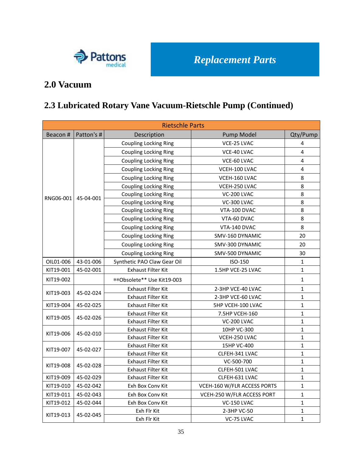

### **2.0 Vacuum**

# **2.3 Lubricated Rotary Vane Vacuum-Rietschle Pump (Continued)**

|           | <b>Rietschle Parts</b> |                              |                             |              |  |  |  |
|-----------|------------------------|------------------------------|-----------------------------|--------------|--|--|--|
| Beacon #  | Patton's #             | Description                  | Pump Model                  | Qty/Pump     |  |  |  |
|           |                        | <b>Coupling Locking Ring</b> | VCE-25 LVAC                 | 4            |  |  |  |
|           |                        | <b>Coupling Locking Ring</b> | VCE-40 LVAC                 | 4            |  |  |  |
|           |                        | <b>Coupling Locking Ring</b> | VCE-60 LVAC                 | 4            |  |  |  |
|           |                        | <b>Coupling Locking Ring</b> | VCEH-100 LVAC               | 4            |  |  |  |
|           |                        | <b>Coupling Locking Ring</b> | VCEH-160 LVAC               | 8            |  |  |  |
|           |                        | <b>Coupling Locking Ring</b> | VCEH-250 LVAC               | 8            |  |  |  |
|           |                        | <b>Coupling Locking Ring</b> | VC-200 LVAC                 | 8            |  |  |  |
| RNG06-001 | 45-04-001              | <b>Coupling Locking Ring</b> | VC-300 LVAC                 | 8            |  |  |  |
|           |                        | <b>Coupling Locking Ring</b> | VTA-100 DVAC                | 8            |  |  |  |
|           |                        | <b>Coupling Locking Ring</b> | VTA-60 DVAC                 | 8            |  |  |  |
|           |                        | <b>Coupling Locking Ring</b> | VTA-140 DVAC                | 8            |  |  |  |
|           |                        | <b>Coupling Locking Ring</b> | SMV-160 DYNAMIC             | 20           |  |  |  |
|           |                        | <b>Coupling Locking Ring</b> | SMV-300 DYNAMIC             | 20           |  |  |  |
|           |                        | <b>Coupling Locking Ring</b> | SMV-500 DYNAMIC             | 30           |  |  |  |
| OIL01-006 | 43-01-006              | Synthetic PAO Claw Gear Oil  | ISO-150                     | $\mathbf{1}$ |  |  |  |
| KIT19-001 | 45-02-001              | <b>Exhaust Filter Kit</b>    | 1.5HP VCE-25 LVAC           | $\mathbf{1}$ |  |  |  |
| KIT19-002 |                        | ** Obsolete** Use Kit19-003  |                             | $\mathbf{1}$ |  |  |  |
|           |                        | Exhaust Filter Kit           | 2-3HP VCE-40 LVAC           | $\mathbf{1}$ |  |  |  |
| KIT19-003 | 45-02-024              | <b>Exhaust Filter Kit</b>    | 2-3HP VCE-60 LVAC           | 1            |  |  |  |
| KIT19-004 | 45-02-025              | <b>Exhaust Filter Kit</b>    | 5HP VCEH-100 LVAC           | $\mathbf{1}$ |  |  |  |
| KIT19-005 | 45-02-026              | <b>Exhaust Filter Kit</b>    | 7.5HP VCEH-160              | $\mathbf{1}$ |  |  |  |
|           |                        | <b>Exhaust Filter Kit</b>    | VC-200 LVAC                 | $\mathbf{1}$ |  |  |  |
| KIT19-006 | 45-02-010              | Exhaust Filter Kit           | 10HP VC-300                 | $\mathbf{1}$ |  |  |  |
|           |                        | <b>Exhaust Filter Kit</b>    | VCEH-250 LVAC               | $\mathbf{1}$ |  |  |  |
| KIT19-007 | 45-02-027              | Exhaust Filter Kit           | 15HP VC-400                 | $\mathbf{1}$ |  |  |  |
|           |                        | Exhaust Filter Kit           | CLFEH-341 LVAC              | $\mathbf{1}$ |  |  |  |
| KIT19-008 | 45-02-028              | Exhaust Filter Kit           | VC-500-700                  | $\mathbf{1}$ |  |  |  |
|           |                        | Exhaust Filter Kit           | CLFEH-501 LVAC              | 1            |  |  |  |
| KIT19-009 | 45-02-029              | <b>Exhaust Filter Kit</b>    | CLFEH-631 LVAC              | $\mathbf{1}$ |  |  |  |
| KIT19-010 | 45-02-042              | Exh Box Cony Kit             | VCEH-160 W/FLR ACCESS PORTS | 1            |  |  |  |
| KIT19-011 | 45-02-043              | Exh Box Conv Kit             | VCEH-250 W/FLR ACCESS PORT  | $\mathbf{1}$ |  |  |  |
| KIT19-012 | 45-02-044              | Exh Box Conv Kit             | VC-150 LVAC                 | 1            |  |  |  |
| KIT19-013 | 45-02-045              | Exh Flr Kit                  | 2-3HP VC-50                 | $\mathbf{1}$ |  |  |  |
|           |                        | Exh Flr Kit                  | VC-75 LVAC                  | 1            |  |  |  |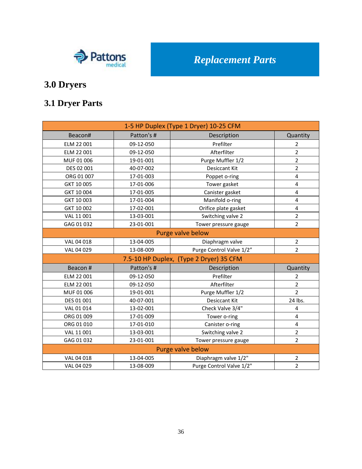

# **3.1 Dryer Parts**

| 1-5 HP Duplex (Type 1 Dryer) 10-25 CFM |                   |                                         |                |  |  |  |
|----------------------------------------|-------------------|-----------------------------------------|----------------|--|--|--|
| Beacon#                                | Patton's #        | Description                             | Quantity       |  |  |  |
| ELM 22 001                             | 09-12-050         | Prefilter                               | $\overline{2}$ |  |  |  |
| ELM 22 001                             | 09-12-050         | Afterfilter                             | $\overline{2}$ |  |  |  |
| MUF 01 006                             | 19-01-001         | Purge Muffler 1/2                       | $\overline{2}$ |  |  |  |
| DES 02 001                             | 40-07-002         | <b>Desiccant Kit</b>                    | $\overline{2}$ |  |  |  |
| ORG 01 007                             | 17-01-003         | Poppet o-ring                           | 4              |  |  |  |
| GKT 10 005                             | 17-01-006         | Tower gasket                            | 4              |  |  |  |
| GKT 10 004                             | 17-01-005         | Canister gasket                         | 4              |  |  |  |
| GKT 10 003                             | 17-01-004         | Manifold o-ring                         | 4              |  |  |  |
| GKT 10 002                             | 17-02-001         | Orifice plate gasket                    | 4              |  |  |  |
| VAL 11 001                             | 13-03-001         | Switching valve 2                       | $\overline{2}$ |  |  |  |
| GAG 01 032                             | 23-01-001         | Tower pressure gauge                    | $\overline{2}$ |  |  |  |
|                                        | Purge valve below |                                         |                |  |  |  |
| VAL 04 018                             | 13-04-005         | Diaphragm valve                         | $\overline{2}$ |  |  |  |
| VAL 04 029                             | 13-08-009         | Purge Control Valve 1/2"                | $\overline{2}$ |  |  |  |
|                                        |                   | 7.5-10 HP Duplex, (Type 2 Dryer) 35 CFM |                |  |  |  |
| Beacon #                               | Patton's #        | Description                             | Quantity       |  |  |  |
| ELM 22 001                             | 09-12-050         | Prefilter                               | $\overline{2}$ |  |  |  |
| ELM 22 001                             | 09-12-050         | Afterfilter                             | $\overline{2}$ |  |  |  |
| MUF 01 006                             | 19-01-001         | Purge Muffler 1/2                       | $\overline{2}$ |  |  |  |
| DES 01 001                             | 40-07-001         | <b>Desiccant Kit</b>                    | 24 lbs.        |  |  |  |
| VAL 01 014                             | 13-02-001         | Check Valve 3/4"                        | 4              |  |  |  |
| ORG 01 009                             | 17-01-009         | Tower o-ring                            | 4              |  |  |  |
| ORG 01 010                             | 17-01-010         | Canister o-ring                         | 4              |  |  |  |
| VAL 11 001                             | 13-03-001         | Switching valve 2                       | $\overline{2}$ |  |  |  |
| GAG 01 032                             | 23-01-001         | Tower pressure gauge                    | $\overline{2}$ |  |  |  |
|                                        |                   | Purge valve below                       |                |  |  |  |
| VAL 04 018                             | 13-04-005         | Diaphragm valve 1/2"                    | 2              |  |  |  |
| VAL 04 029                             | 13-08-009         | Purge Control Valve 1/2"                | $\overline{2}$ |  |  |  |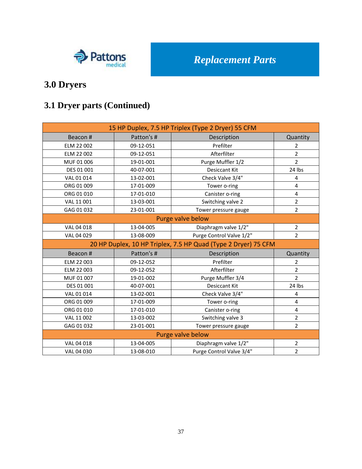

# **3.1 Dryer parts (Continued)**

| 15 HP Duplex, 7.5 HP Triplex (Type 2 Dryer) 55 CFM             |                   |                          |                         |  |  |  |
|----------------------------------------------------------------|-------------------|--------------------------|-------------------------|--|--|--|
| Beacon#                                                        | Patton's #        | Description              | Quantity                |  |  |  |
| ELM 22 002                                                     | 09-12-051         | Prefilter                | $\overline{2}$          |  |  |  |
| ELM 22 002                                                     | 09-12-051         | Afterfilter              | $\overline{2}$          |  |  |  |
| MUF 01 006                                                     | 19-01-001         | Purge Muffler 1/2        | $\overline{2}$          |  |  |  |
| DES 01 001                                                     | 40-07-001         | <b>Desiccant Kit</b>     | 24 lbs                  |  |  |  |
| VAL 01 014                                                     | 13-02-001         | Check Valve 3/4"         | $\overline{\mathbf{4}}$ |  |  |  |
| ORG 01 009                                                     | 17-01-009         | Tower o-ring             | $\overline{\mathbf{4}}$ |  |  |  |
| ORG 01 010                                                     | 17-01-010         | Canister o-ring          | $\overline{4}$          |  |  |  |
| VAL 11 001                                                     | 13-03-001         | Switching valve 2        | $\overline{2}$          |  |  |  |
| GAG 01 032                                                     | 23-01-001         | Tower pressure gauge     | $\overline{2}$          |  |  |  |
|                                                                | Purge valve below |                          |                         |  |  |  |
| VAL 04 018                                                     | 13-04-005         | Diaphragm valve 1/2"     | $\overline{2}$          |  |  |  |
| VAL 04 029<br>13-08-009                                        |                   | Purge Control Valve 1/2" | $\overline{2}$          |  |  |  |
| 20 HP Duplex, 10 HP Triplex, 7.5 HP Quad (Type 2 Dryer) 75 CFM |                   |                          |                         |  |  |  |
| Beacon #                                                       | Patton's #        | Description              | Quantity                |  |  |  |
| ELM 22 003                                                     | 09-12-052         | Prefilter                | $\overline{2}$          |  |  |  |
| ELM 22 003                                                     | 09-12-052         | Afterfilter              | $\overline{2}$          |  |  |  |
| MUF 01 007                                                     | 19-01-002         | Purge Muffler 3/4        | $\overline{2}$          |  |  |  |
| DES 01 001                                                     | 40-07-001         | <b>Desiccant Kit</b>     | 24 lbs                  |  |  |  |
| VAL 01 014                                                     | 13-02-001         | Check Valve 3/4"         | 4                       |  |  |  |
| ORG 01 009                                                     | 17-01-009         | Tower o-ring             | 4                       |  |  |  |
| ORG 01 010                                                     | 17-01-010         | Canister o-ring          | 4                       |  |  |  |
| VAL 11 002                                                     | 13-03-002         | Switching valve 3        | $\overline{2}$          |  |  |  |
| GAG 01 032                                                     | 23-01-001         | Tower pressure gauge     | $\overline{2}$          |  |  |  |
|                                                                |                   | Purge valve below        |                         |  |  |  |
| VAL 04 018                                                     | 13-04-005         | Diaphragm valve 1/2"     | $\overline{2}$          |  |  |  |
| VAL 04 030                                                     | 13-08-010         | Purge Control Valve 3/4" | $\overline{2}$          |  |  |  |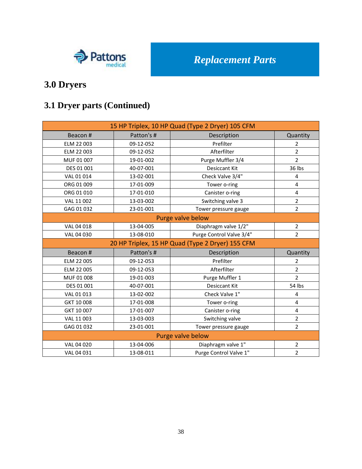

# **3.1 Dryer parts (Continued)**

| 15 HP Triplex, 10 HP Quad (Type 2 Dryer) 105 CFM |            |                                                  |                |  |
|--------------------------------------------------|------------|--------------------------------------------------|----------------|--|
| Beacon #                                         | Patton's # | Description                                      | Quantity       |  |
| ELM 22 003                                       | 09-12-052  | Prefilter                                        | $\overline{2}$ |  |
| ELM 22 003                                       | 09-12-052  | Afterfilter                                      | $\overline{2}$ |  |
| MUF 01 007                                       | 19-01-002  | Purge Muffler 3/4                                | $\overline{2}$ |  |
| DES 01 001                                       | 40-07-001  | <b>Desiccant Kit</b>                             | 36 lbs         |  |
| VAL 01 014                                       | 13-02-001  | Check Valve 3/4"                                 | 4              |  |
| ORG 01 009                                       | 17-01-009  | Tower o-ring                                     | 4              |  |
| ORG 01 010                                       | 17-01-010  | Canister o-ring                                  | $\overline{4}$ |  |
| VAL 11 002                                       | 13-03-002  | Switching valve 3                                | $\overline{2}$ |  |
| GAG 01 032                                       | 23-01-001  | Tower pressure gauge                             | $\overline{2}$ |  |
|                                                  |            | Purge valve below                                |                |  |
| VAL 04 018                                       | 13-04-005  | Diaphragm valve 1/2"                             | $\overline{2}$ |  |
| VAL 04 030                                       | 13-08-010  | Purge Control Valve 3/4"                         | $\overline{2}$ |  |
|                                                  |            | 20 HP Triplex, 15 HP Quad (Type 2 Dryer) 155 CFM |                |  |
| Beacon #                                         | Patton's # | Description                                      | Quantity       |  |
| ELM 22 005                                       | 09-12-053  | Prefilter                                        | $\overline{2}$ |  |
| ELM 22 005                                       | 09-12-053  | Afterfilter                                      | $\overline{2}$ |  |
| MUF 01 008                                       | 19-01-003  | Purge Muffler 1                                  | $\overline{2}$ |  |
| DES 01 001                                       | 40-07-001  | <b>Desiccant Kit</b>                             | 54 lbs         |  |
| VAL 01 013                                       | 13-02-002  | Check Valve 1"                                   | 4              |  |
| GKT 10 008                                       | 17-01-008  | Tower o-ring                                     | 4              |  |
| GKT 10 007                                       | 17-01-007  | Canister o-ring                                  | 4              |  |
| VAL 11 003                                       | 13-03-003  | Switching valve                                  | $\overline{2}$ |  |
| GAG 01 032                                       | 23-01-001  | Tower pressure gauge                             | $\overline{2}$ |  |
|                                                  |            | Purge valve below                                |                |  |
| VAL 04 020                                       | 13-04-006  | Diaphragm valve 1"                               | $\overline{2}$ |  |
| VAL 04 031                                       | 13-08-011  | Purge Control Valve 1"                           | $\overline{2}$ |  |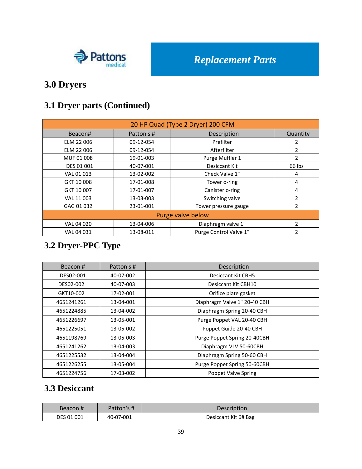

### **3.1 Dryer parts (Continued)**

| 20 HP Quad (Type 2 Dryer) 200 CFM |            |                        |                          |  |
|-----------------------------------|------------|------------------------|--------------------------|--|
| Beacon#                           | Patton's # | Description            | Quantity                 |  |
| ELM 22 006                        | 09-12-054  | Prefilter              | 2                        |  |
| ELM 22 006                        | 09-12-054  | Afterfilter            | 2                        |  |
| MUF 01 008                        | 19-01-003  | Purge Muffler 1        | 2                        |  |
| DES 01 001                        | 40-07-001  | Desiccant Kit          | 66 lbs                   |  |
| VAL 01 013                        | 13-02-002  | Check Valve 1"         | 4                        |  |
| GKT 10 008                        | 17-01-008  | Tower o-ring           | 4                        |  |
| GKT 10 007                        | 17-01-007  | Canister o-ring        | 4                        |  |
| VAL 11 003                        | 13-03-003  | Switching valve        | $\overline{\phantom{a}}$ |  |
| GAG 01 032                        | 23-01-001  | Tower pressure gauge   | 2                        |  |
|                                   |            | Purge valve below      |                          |  |
| VAL 04 020                        | 13-04-006  | Diaphragm valve 1"     | $\overline{\phantom{a}}$ |  |
| VAL 04 031                        | 13-08-011  | Purge Control Valve 1" | 2                        |  |

# **3.2 Dryer-PPC Type**

| Beacon#    | Patton's # | Description                  |
|------------|------------|------------------------------|
| DES02-001  | 40-07-002  | Desiccant Kit CBH5           |
| DES02-002  | 40-07-003  | Desiccant Kit CBH10          |
| GKT10-002  | 17-02-001  | Orifice plate gasket         |
| 4651241261 | 13-04-001  | Diaphragm Valve 1" 20-40 CBH |
| 4651224885 | 13-04-002  | Diaphragm Spring 20-40 CBH   |
| 4651226697 | 13-05-001  | Purge Poppet VAL 20-40 CBH   |
| 4651225051 | 13-05-002  | Poppet Guide 20-40 CBH       |
| 4651198769 | 13-05-003  | Purge Poppet Spring 20-40CBH |
| 4651241262 | 13-04-003  | Diaphragm VLV 50-60CBH       |
| 4651225532 | 13-04-004  | Diaphragm Spring 50-60 CBH   |
| 4651226255 | 13-05-004  | Purge Poppet Spring 50-60CBH |
| 4651224756 | 17-03-002  | Poppet Valve Spring          |

#### **3.3 Desiccant**

| Beacon #          | Patton's # | Description          |
|-------------------|------------|----------------------|
| <b>DES 01 001</b> | 40-07-001  | Desiccant Kit 6# Bag |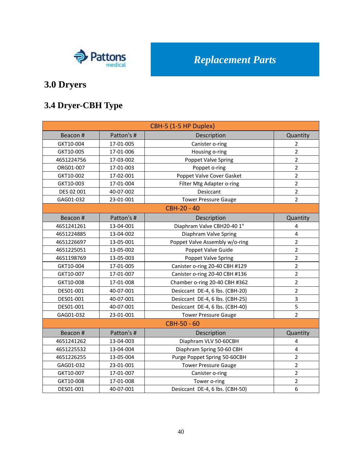

# **3.4 Dryer-CBH Type**

| CBH-5 (1-5 HP Duplex) |            |                                                |                         |  |
|-----------------------|------------|------------------------------------------------|-------------------------|--|
| Beacon #              | Patton's # | Description                                    | Quantity                |  |
| GKT10-004             | 17-01-005  | Canister o-ring                                | $\overline{2}$          |  |
| GKT10-005             | 17-01-006  | Housing o-ring                                 | $\overline{2}$          |  |
| 4651224756            | 17-03-002  | Poppet Valve Spring                            | $\overline{2}$          |  |
| ORG01-007             | 17-01-003  | Poppet o-ring                                  | $\overline{2}$          |  |
| GKT10-002             | 17-02-001  | Poppet Valve Cover Gasket                      | $\overline{2}$          |  |
| GKT10-003             | 17-01-004  | Filter Mtg Adapter o-ring                      | $\overline{2}$          |  |
| DES 02 001            | 40-07-002  | Desiccant                                      | $\overline{2}$          |  |
| GAG01-032             | 23-01-001  | <b>Tower Pressure Gauge</b>                    | $\overline{2}$          |  |
|                       |            | <b>CBH-20 - 40</b>                             |                         |  |
| Beacon #              | Patton's # | Description                                    | Quantity                |  |
| 4651241261            | 13-04-001  | Diaphram Valve CBH20-40 1"                     | 4                       |  |
| 4651224885            | 13-04-002  | Diaphram Valve Spring                          | $\overline{\mathbf{4}}$ |  |
| 4651226697            | 13-05-001  | Poppet Valve Assembly w/o-ring                 | $\overline{2}$          |  |
| 4651225051            | 13-05-002  | Poppet Valve Guide                             | $\overline{2}$          |  |
| 4651198769            | 13-05-003  | Poppet Valve Spring                            | $\overline{2}$          |  |
| GKT10-004             | 17-01-005  | Canister o-ring 20-40 CBH #129                 | $\overline{2}$          |  |
| GKT10-007             | 17-01-007  | Canister o-ring 20-40 CBH #136                 | $\overline{2}$          |  |
| GKT10-008             | 17-01-008  | Chamber o-ring 20-40 CBH #362                  | $\overline{2}$          |  |
| DES01-001             | 40-07-001  | Desiccant DE-4, 6 lbs. (CBH-20)                | $\overline{2}$          |  |
| DES01-001             | 40-07-001  | Desiccant DE-4, 6 lbs. (CBH-25)                | 3                       |  |
| DES01-001             | 40-07-001  | Desiccant DE-4, 6 lbs. (CBH-40)                | 5                       |  |
| GAG01-032             | 23-01-001  | <b>Tower Pressure Gauge</b>                    | $\overline{2}$          |  |
|                       |            | CBH-50 - 60                                    |                         |  |
| Beacon #              | Patton's # | Description                                    | Quantity                |  |
| 4651241262            | 13-04-003  | Diaphram VLV 50-60CBH                          | $\overline{4}$          |  |
| 4651225532            | 13-04-004  | Diaphram Spring 50-60 CBH                      | 4                       |  |
| 4651226255            | 13-05-004  | $\overline{2}$<br>Purge Poppet Spring 50-60CBH |                         |  |
| GAG01-032             | 23-01-001  | <b>Tower Pressure Gauge</b>                    | $\overline{2}$          |  |
| GKT10-007             | 17-01-007  | Canister o-ring                                | $\overline{2}$          |  |
| GKT10-008             | 17-01-008  | Tower o-ring                                   | $\overline{2}$          |  |
| DES01-001             | 40-07-001  | 6<br>Desiccant DE-4, 6 lbs. (CBH-50)           |                         |  |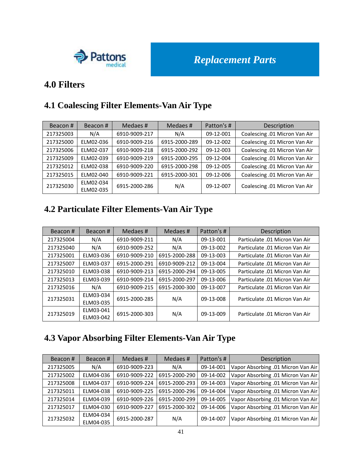

#### **4.0 Filters**

## **4.1 Coalescing Filter Elements-Van Air Type**

| Beacon#   | Beacon#                | Medaes #      | Medaes #      | Patton's # | Description                   |
|-----------|------------------------|---------------|---------------|------------|-------------------------------|
| 217325003 | N/A                    | 6910-9009-217 | N/A           | 09-12-001  | Coalescing .01 Micron Van Air |
| 217325000 | ELM02-036              | 6910-9009-216 | 6915-2000-289 | 09-12-002  | Coalescing .01 Micron Van Air |
| 217325006 | ELM02-037              | 6910-9009-218 | 6915-2000-292 | 09-12-003  | Coalescing .01 Micron Van Air |
| 217325009 | ELM02-039              | 6910-9009-219 | 6915-2000-295 | 09-12-004  | Coalescing .01 Micron Van Air |
| 217325012 | ELM02-038              | 6910-9009-220 | 6915-2000-298 | 09-12-005  | Coalescing .01 Micron Van Air |
| 217325015 | ELM02-040              | 6910-9009-221 | 6915-2000-301 | 09-12-006  | Coalescing .01 Micron Van Air |
| 217325030 | ELM02-034<br>ELM02-035 | 6915-2000-286 | N/A           | 09-12-007  | Coalescing .01 Micron Van Air |

## **4.2 Particulate Filter Elements-Van Air Type**

| Beacon#   | Beacon#   | Medaes #      | Medaes #      | Patton's # | Description                    |
|-----------|-----------|---------------|---------------|------------|--------------------------------|
| 217325004 | N/A       | 6910-9009-211 | N/A           | 09-13-001  | Particulate .01 Micron Van Air |
| 217325040 | N/A       | 6910-9009-252 | N/A           | 09-13-002  | Particulate .01 Micron Van Air |
| 217325001 | ELM03-036 | 6910-9009-210 | 6915-2000-288 | 09-13-003  | Particulate .01 Micron Van Air |
| 217325007 | ELM03-037 | 6915-2000-291 | 6910-9009-212 | 09-13-004  | Particulate 01 Micron Van Air  |
| 217325010 | ELM03-038 | 6910-9009-213 | 6915-2000-294 | 09-13-005  | Particulate .01 Micron Van Air |
| 217325013 | ELM03-039 | 6910-9009-214 | 6915-2000-297 | 09-13-006  | Particulate .01 Micron Van Air |
| 217325016 | N/A       | 6910-9009-215 | 6915-2000-300 | 09-13-007  | Particulate .01 Micron Van Air |
| 217325031 | ELM03-034 | 6915-2000-285 | N/A           | 09-13-008  | Particulate .01 Micron Van Air |
|           | ELM03-035 |               |               |            |                                |
| 217325019 | ELM03-041 | 6915-2000-303 | N/A           | 09-13-009  | Particulate .01 Micron Van Air |
|           | ELM03-042 |               |               |            |                                |

### **4.3 Vapor Absorbing Filter Elements-Van Air Type**

| Beacon#   | Beacon#                | Medaes #      | Medaes#       | Patton's # | Description                        |
|-----------|------------------------|---------------|---------------|------------|------------------------------------|
| 217325005 | N/A                    | 6910-9009-223 | N/A           | 09-14-001  | Vapor Absorbing .01 Micron Van Air |
| 217325002 | ELM04-036              | 6910-9009-222 | 6915-2000-290 | 09-14-002  | Vapor Absorbing .01 Micron Van Air |
| 217325008 | ELM04-037              | 6910-9009-224 | 6915-2000-293 | 09-14-003  | Vapor Absorbing .01 Micron Van Air |
| 217325011 | ELM04-038              | 6910-9009-225 | 6915-2000-296 | 09-14-004  | Vapor Absorbing .01 Micron Van Air |
| 217325014 | ELM04-039              | 6910-9009-226 | 6915-2000-299 | 09-14-005  | Vapor Absorbing .01 Micron Van Air |
| 217325017 | ELM04-030              | 6910-9009-227 | 6915-2000-302 | 09-14-006  | Vapor Absorbing .01 Micron Van Air |
| 217325032 | ELM04-034<br>ELM04-035 | 6915-2000-287 | N/A           | 09-14-007  | Vapor Absorbing .01 Micron Van Air |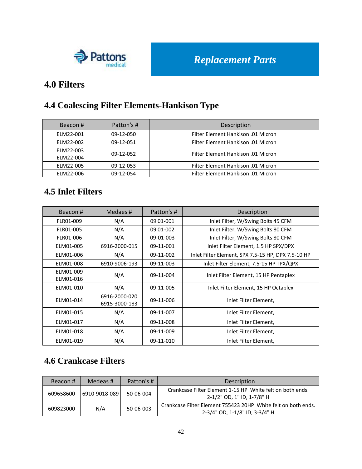

#### **4.0 Filters**

# **4.4 Coalescing Filter Elements-Hankison Type**

| Beacon#   | Patton's # | Description                        |
|-----------|------------|------------------------------------|
| ELM22-001 | 09-12-050  | Filter Element Hankison .01 Micron |
| ELM22-002 | 09-12-051  | Filter Element Hankison .01 Micron |
| ELM22-003 | 09-12-052  | Filter Element Hankison .01 Micron |
| ELM22-004 |            |                                    |
| ELM22-005 | 09-12-053  | Filter Element Hankison .01 Micron |
| ELM22-006 | 09-12-054  | Filter Element Hankison .01 Micron |

#### **4.5 Inlet Filters**

| Beacon#                | Medaes #                       | Patton's #  | Description                                        |
|------------------------|--------------------------------|-------------|----------------------------------------------------|
| FLR01-009              | N/A                            | 09 01 - 001 | Inlet Filter, W/Swing Bolts 45 CFM                 |
| FLR01-005              | N/A                            | 09 01 - 002 | Inlet Filter, W/Swing Bolts 80 CFM                 |
| FLR01-006              | N/A                            | 09-01-003   | Inlet Filter, W/Swing Bolts 80 CFM                 |
| ELM01-005              | 6916-2000-015                  | 09-11-001   | Inlet Filter Element, 1.5 HP SPX/DPX               |
| ELM01-006              | N/A                            | 09-11-002   | Inlet Filter Element, SPX 7.5-15 HP, DPX 7.5-10 HP |
| ELM01-008              | 6910-9006-193                  | 09-11-003   | Inlet Filter Element, 7.5-15 HP TPX/QPX            |
| ELM01-009<br>ELM01-016 | N/A                            | 09-11-004   | Inlet Filter Element, 15 HP Pentaplex              |
| ELM01-010              | N/A                            | 09-11-005   | Inlet Filter Element, 15 HP Octaplex               |
| ELM01-014              | 6916-2000-020<br>6915-3000-183 | 09-11-006   | Inlet Filter Element,                              |
| ELM01-015              | N/A                            | 09-11-007   | Inlet Filter Element,                              |
| ELM01-017              | N/A                            | 09-11-008   | Inlet Filter Element,                              |
| ELM01-018              | N/A                            | 09-11-009   | Inlet Filter Element,                              |
| ELM01-019              | N/A                            | 09-11-010   | Inlet Filter Element,                              |

# **4.6 Crankcase Filters**

| Beacon#   | Medeas #      | Patton's # | Description                                                                                     |
|-----------|---------------|------------|-------------------------------------------------------------------------------------------------|
| 609658600 | 6910-9018-089 | 50-06-004  | Crankcase Filter Element 1-15 HP White felt on both ends.<br>2-1/2" OD, 1" ID, 1-7/8" H         |
| 609823000 | N/A           | 50-06-003  | Crankcase Filter Element 755423 20HP White felt on both ends.<br>2-3/4" OD, 1-1/8" ID, 3-3/4" H |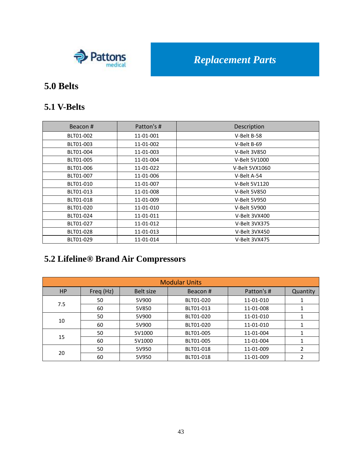

### **5.0 Belts**

#### **5.1 V-Belts**

| Beacon#   | Patton's # | Description    |
|-----------|------------|----------------|
| BLT01-002 | 11-01-001  | V-Belt B-58    |
| BLT01-003 | 11-01-002  | V-Belt B-69    |
| BLT01-004 | 11-01-003  | V-Belt 3V850   |
| BLT01-005 | 11-01-004  | V-Belt 5V1000  |
| BLT01-006 | 11-01-022  | V-Belt 5VX1060 |
| BLT01-007 | 11-01-006  | V-Belt A-54    |
| BLT01-010 | 11-01-007  | V-Belt 5V1120  |
| BLT01-013 | 11-01-008  | V-Belt 5V850   |
| BLT01-018 | 11-01-009  | V-Belt 5V950   |
| BLT01-020 | 11-01-010  | V-Belt 5V900   |
| BLT01-024 | 11-01-011  | V-Belt 3VX400  |
| BLT01-027 | 11-01-012  | V-Belt 3VX375  |
| BLT01-028 | 11-01-013  | V-Belt 3VX450  |
| BLT01-029 | 11-01-014  | V-Belt 3VX475  |

# **5.2 Lifeline® Brand Air Compressors**

| <b>Modular Units</b> |           |           |           |            |          |
|----------------------|-----------|-----------|-----------|------------|----------|
| <b>HP</b>            | Freq (Hz) | Belt size | Beacon#   | Patton's # | Quantity |
|                      | 50        | 5V900     | BLT01-020 | 11-01-010  |          |
| 7.5                  | 60        | 5V850     | BLT01-013 | 11-01-008  |          |
| 10                   | 50        | 5V900     | BLT01-020 | 11-01-010  |          |
|                      | 60        | 5V900     | BLT01-020 | 11-01-010  |          |
| 15                   | 50        | 5V1000    | BLT01-005 | 11-01-004  |          |
|                      | 60        | 5V1000    | BLT01-005 | 11-01-004  |          |
|                      | 50        | 5V950     | BLT01-018 | 11-01-009  | 2        |
| 20                   | 60        | 5V950     | BLT01-018 | 11-01-009  |          |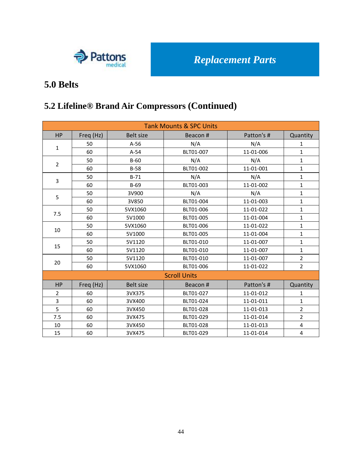

### **5.0 Belts**

## **5.2 Lifeline® Brand Air Compressors (Continued)**

| <b>Tank Mounts &amp; SPC Units</b> |           |                  |                     |            |                |
|------------------------------------|-----------|------------------|---------------------|------------|----------------|
| <b>HP</b>                          | Freq (Hz) | <b>Belt size</b> | Beacon#             | Patton's # | Quantity       |
|                                    | 50        | $A-56$           | N/A                 | N/A        | 1              |
| $\mathbf{1}$                       | 60        | $A-54$           | BLT01-007           | 11-01-006  | $\mathbf{1}$   |
|                                    | 50        | $B-60$           | N/A                 | N/A        | $\mathbf{1}$   |
| $\overline{2}$                     | 60        | $B-58$           | BLT01-002           | 11-01-001  | $\mathbf{1}$   |
|                                    | 50        | $B-71$           | N/A                 | N/A        | $\mathbf{1}$   |
| 3                                  | 60        | $B-69$           | BLT01-003           | 11-01-002  | $\mathbf{1}$   |
|                                    | 50        | 3V900            | N/A                 | N/A        | $\mathbf{1}$   |
| 5                                  | 60        | 3V850            | BLT01-004           | 11-01-003  | $\mathbf{1}$   |
|                                    | 50        | 5VX1060          | BLT01-006           | 11-01-022  | $\mathbf{1}$   |
| 7.5                                | 60        | 5V1000           | BLT01-005           | 11-01-004  | $\mathbf{1}$   |
| 10                                 | 50        | 5VX1060          | BLT01-006           | 11-01-022  | $\mathbf{1}$   |
|                                    | 60        | 5V1000           | BLT01-005           | 11-01-004  | $\mathbf{1}$   |
| 15                                 | 50        | 5V1120           | BLT01-010           | 11-01-007  | $\mathbf{1}$   |
|                                    | 60        | 5V1120           | BLT01-010           | 11-01-007  | $\mathbf{1}$   |
| 20                                 | 50        | 5V1120           | BLT01-010           | 11-01-007  | $\overline{2}$ |
|                                    | 60        | 5VX1060          | BLT01-006           | 11-01-022  | $\overline{2}$ |
|                                    |           |                  | <b>Scroll Units</b> |            |                |
| <b>HP</b>                          | Freq (Hz) | <b>Belt size</b> | Beacon#             | Patton's # | Quantity       |
| $\overline{2}$                     | 60        | 3VX375           | BLT01-027           | 11-01-012  | $\mathbf{1}$   |
| 3                                  | 60        | 3VX400           | BLT01-024           | 11-01-011  | $\mathbf{1}$   |
| 5                                  | 60        | 3VX450           | BLT01-028           | 11-01-013  | $\overline{2}$ |
| 7.5                                | 60        | 3VX475           | BLT01-029           | 11-01-014  | $\overline{2}$ |
| 10                                 | 60        | 3VX450           | BLT01-028           | 11-01-013  | 4              |
| 15                                 | 60        | 3VX475           | BLT01-029           | 11-01-014  | 4              |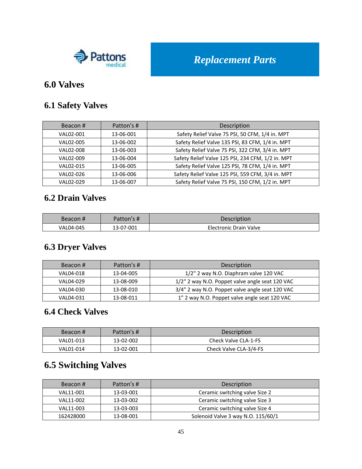

#### **6.0 Valves**

#### **6.1 Safety Valves**

| Beacon#   | Patton's # | Description                                       |
|-----------|------------|---------------------------------------------------|
| VAL02-001 | 13-06-001  | Safety Relief Valve 75 PSI, 50 CFM, 1/4 in. MPT   |
| VAL02-005 | 13-06-002  | Safety Relief Valve 135 PSI, 83 CFM, 1/4 in. MPT  |
| VAL02-008 | 13-06-003  | Safety Relief Valve 75 PSI, 322 CFM, 3/4 in. MPT  |
| VAL02-009 | 13-06-004  | Safety Relief Valve 125 PSI, 234 CFM, 1/2 in. MPT |
| VAL02-015 | 13-06-005  | Safety Relief Valve 125 PSI, 78 CFM, 1/4 in. MPT  |
| VAL02-026 | 13-06-006  | Safety Relief Valve 125 PSI, 559 CFM, 3/4 in. MPT |
| VAL02-029 | 13-06-007  | Safety Relief Valve 75 PSI, 150 CFM, 1/2 in. MPT  |

#### **6.2 Drain Valves**

| Beacon#   | Patton's # | Description            |
|-----------|------------|------------------------|
| VAL04-045 | 13-07-001  | Electronic Drain Valve |

### **6.3 Dryer Valves**

| Beacon#   | Patton's # | Description                                     |
|-----------|------------|-------------------------------------------------|
| VAL04-018 | 13-04-005  | 1/2" 2 way N.O. Diaphram valve 120 VAC          |
| VAL04-029 | 13-08-009  | 1/2" 2 way N.O. Poppet valve angle seat 120 VAC |
| VAL04-030 | 13-08-010  | 3/4" 2 way N.O. Poppet valve angle seat 120 VAC |
| VAL04-031 | 13-08-011  | 1" 2 way N.O. Poppet valve angle seat 120 VAC   |

#### **6.4 Check Valves**

| Beacon#   | Patton's # | <b>Description</b>     |
|-----------|------------|------------------------|
| VAL01-013 | 13-02-002  | Check Valve CLA-1-FS   |
| VAL01-014 | 13-02-001  | Check Valve CLA-3/4-FS |

# **6.5 Switching Valves**

| Beacon#   | Patton's # | Description                        |
|-----------|------------|------------------------------------|
| VAL11-001 | 13-03-001  | Ceramic switching valve Size 2     |
| VAL11-002 | 13-03-002  | Ceramic switching valve Size 3     |
| VAL11-003 | 13-03-003  | Ceramic switching valve Size 4     |
| 162428000 | 13-08-001  | Solenoid Valve 3 way N.O. 115/60/1 |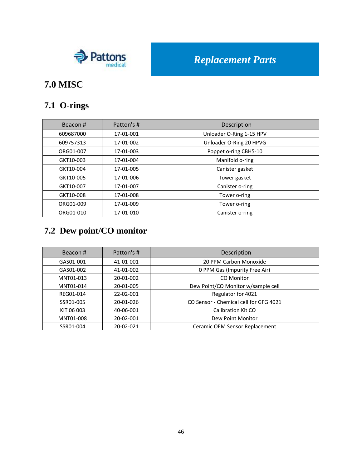

# **7.0 MISC**

## **7.1 O-rings**

| Beacon#   | Patton's # | Description              |
|-----------|------------|--------------------------|
| 609687000 | 17-01-001  | Unloader O-Ring 1-15 HPV |
| 609757313 | 17-01-002  | Unloader O-Ring 20 HPVG  |
| ORG01-007 | 17-01-003  | Poppet o-ring CBH5-10    |
| GKT10-003 | 17-01-004  | Manifold o-ring          |
| GKT10-004 | 17-01-005  | Canister gasket          |
| GKT10-005 | 17-01-006  | Tower gasket             |
| GKT10-007 | 17-01-007  | Canister o-ring          |
| GKT10-008 | 17-01-008  | Tower o-ring             |
| ORG01-009 | 17-01-009  | Tower o-ring             |
| ORG01-010 | 17-01-010  | Canister o-ring          |

# **7.2 Dew point/CO monitor**

| Beacon#    | Patton's # | Description                            |
|------------|------------|----------------------------------------|
| GAS01-001  | 41-01-001  | 20 PPM Carbon Monoxide                 |
| GAS01-002  | 41-01-002  | 0 PPM Gas (Impurity Free Air)          |
| MNT01-013  | 20-01-002  | CO Monitor                             |
| MNT01-014  | 20-01-005  | Dew Point/CO Monitor w/sample cell     |
| REG01-014  | 22-02-001  | Regulator for 4021                     |
| SSR01-005  | 20-01-026  | CO Sensor - Chemical cell for GFG 4021 |
| KIT 06 003 | 40-06-001  | <b>Calibration Kit CO</b>              |
| MNT01-008  | 20-02-001  | Dew Point Monitor                      |
| SSR01-004  | 20-02-021  | Ceramic OEM Sensor Replacement         |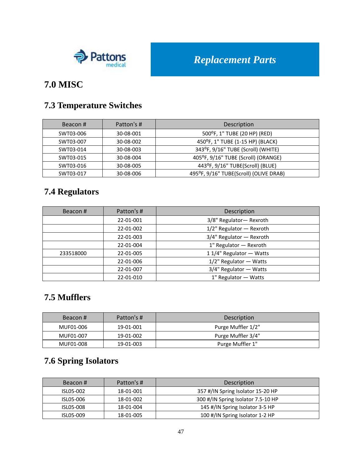

## **7.0 MISC**

### **7.3 Temperature Switches**

| Beacon#   | Patton's # | <b>Description</b>                     |
|-----------|------------|----------------------------------------|
| SWT03-006 | 30-08-001  | 500°F, 1" TUBE (20 HP) (RED)           |
| SWT03-007 | 30-08-002  | 450°F, 1" TUBE (1-15 HP) (BLACK)       |
| SWT03-014 | 30-08-003  | 343°F, 9/16" TUBE (Scroll) (WHITE)     |
| SWT03-015 | 30-08-004  | 405°F, 9/16" TUBE (Scroll) (ORANGE)    |
| SWT03-016 | 30-08-005  | 443°F, 9/16" TUBE(Scroll) (BLUE)       |
| SWT03-017 | 30-08-006  | 495°F, 9/16" TUBE(Scroll) (OLIVE DRAB) |

## **7.4 Regulators**

| Beacon#   | Patton's # | Description                 |
|-----------|------------|-----------------------------|
|           | 22-01-001  | 3/8" Regulator- Rexroth     |
|           | 22-01-002  | $1/2$ " Regulator - Rexroth |
|           | 22-01-003  | 3/4" Regulator - Rexroth    |
|           | 22-01-004  | 1" Regulator - Rexroth      |
| 233518000 | 22-01-005  | 1 1/4" Regulator - Watts    |
|           | 22-01-006  | 1/2" Regulator - Watts      |
|           | 22-01-007  | 3/4" Regulator - Watts      |
|           | 22-01-010  | 1" Regulator - Watts        |

#### **7.5 Mufflers**

| Beacon#   | Patton's # | Description        |
|-----------|------------|--------------------|
| MUF01-006 | 19-01-001  | Purge Muffler 1/2" |
| MUF01-007 | 19-01-002  | Purge Muffler 3/4" |
| MUF01-008 | 19-01-003  | Purge Muffler 1"   |

## **7.6 Spring Isolators**

| Beacon#   | Patton's # | Description                        |
|-----------|------------|------------------------------------|
| ISL05-002 | 18-01-001  | 357 #/IN Spring Isolator 15-20 HP  |
| ISL05-006 | 18-01-002  | 300 #/IN Spring Isolator 7.5-10 HP |
| ISL05-008 | 18-01-004  | 145 #/IN Spring Isolator 3-5 HP    |
| ISL05-009 | 18-01-005  | 100 #/IN Spring Isolator 1-2 HP    |